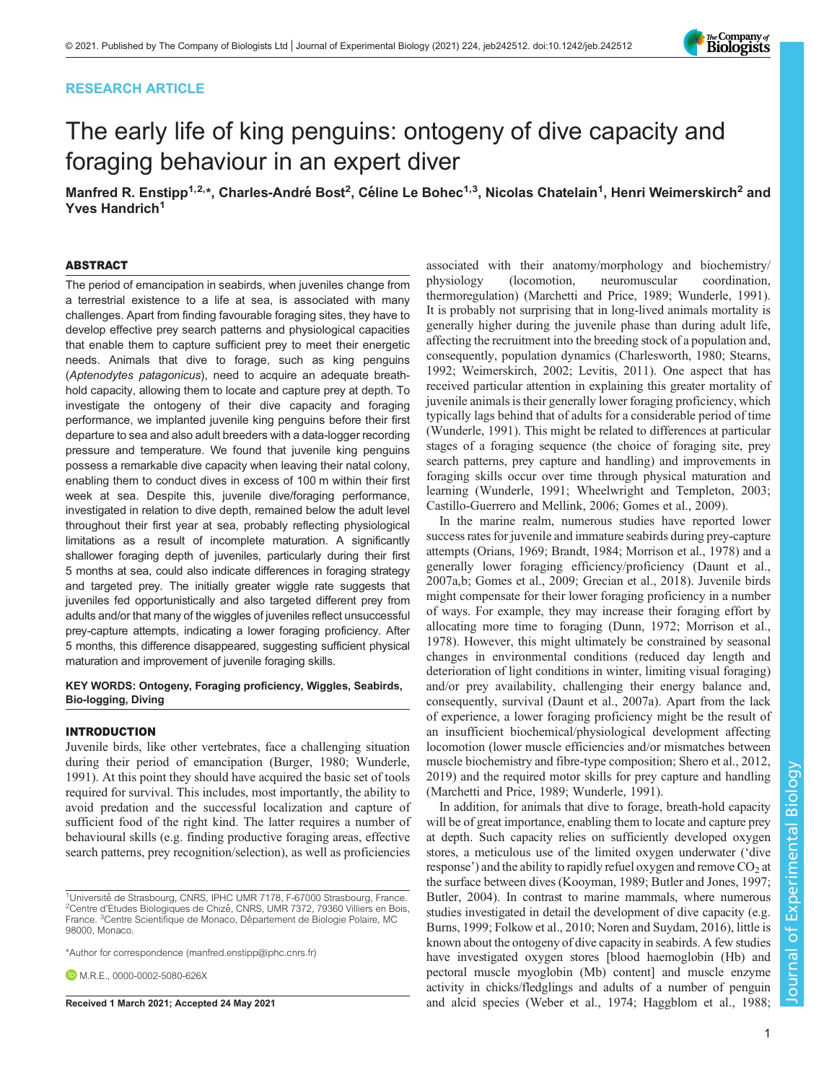# RESEARCH ARTICLE

# The early life of king penguins: ontogeny of dive capacity and foraging behaviour in an expert diver

Manfred R. Enstipp<sup>1,2,</sup>\*, Charles-André Bost<sup>2</sup>, Céline Le Bohec<sup>1,3</sup>, Nicolas Chatelain<sup>1</sup>, Henri Weimerskirch<sup>2</sup> and Yves Handrich<sup>1</sup>

#### ABSTRACT

The period of emancipation in seabirds, when juveniles change from a terrestrial existence to a life at sea, is associated with many challenges. Apart from finding favourable foraging sites, they have to develop effective prey search patterns and physiological capacities that enable them to capture sufficient prey to meet their energetic needs. Animals that dive to forage, such as king penguins (Aptenodytes patagonicus), need to acquire an adequate breathhold capacity, allowing them to locate and capture prey at depth. To investigate the ontogeny of their dive capacity and foraging performance, we implanted juvenile king penguins before their first departure to sea and also adult breeders with a data-logger recording pressure and temperature. We found that juvenile king penguins possess a remarkable dive capacity when leaving their natal colony, enabling them to conduct dives in excess of 100 m within their first week at sea. Despite this, juvenile dive/foraging performance, investigated in relation to dive depth, remained below the adult level throughout their first year at sea, probably reflecting physiological limitations as a result of incomplete maturation. A significantly shallower foraging depth of juveniles, particularly during their first 5 months at sea, could also indicate differences in foraging strategy and targeted prey. The initially greater wiggle rate suggests that juveniles fed opportunistically and also targeted different prey from adults and/or that many of the wiggles of juveniles reflect unsuccessful prey-capture attempts, indicating a lower foraging proficiency. After 5 months, this difference disappeared, suggesting sufficient physical maturation and improvement of juvenile foraging skills.

## KEY WORDS: Ontogeny, Foraging proficiency, Wiggles, Seabirds, Bio-logging, Diving

#### INTRODUCTION

Juvenile birds, like other vertebrates, face a challenging situation during their period of emancipation [\(Burger, 1980;](#page-13-0) [Wunderle,](#page-14-0) [1991](#page-14-0)). At this point they should have acquired the basic set of tools required for survival. This includes, most importantly, the ability to avoid predation and the successful localization and capture of sufficient food of the right kind. The latter requires a number of behavioural skills (e.g. finding productive foraging areas, effective search patterns, prey recognition/selection), as well as proficiencies

\*Author for correspondence [\(manfred.enstipp@iphc.cnrs.fr](mailto:manfred.enstipp@iphc.cnrs.fr))

**D.** M.R.E., [0000-0002-5080-626X](http://orcid.org/0000-0002-5080-626X)

associated with their anatomy/morphology and biochemistry/ physiology (locomotion, neuromuscular coordination, thermoregulation) ([Marchetti and Price, 1989](#page-14-0); [Wunderle, 1991\)](#page-14-0). It is probably not surprising that in long-lived animals mortality is generally higher during the juvenile phase than during adult life, affecting the recruitment into the breeding stock of a population and, consequently, population dynamics ([Charlesworth, 1980](#page-13-0); [Stearns,](#page-14-0) [1992; Weimerskirch, 2002](#page-14-0); [Levitis, 2011](#page-14-0)). One aspect that has received particular attention in explaining this greater mortality of juvenile animals is their generally lower foraging proficiency, which typically lags behind that of adults for a considerable period of time [\(Wunderle, 1991\)](#page-14-0). This might be related to differences at particular stages of a foraging sequence (the choice of foraging site, prey search patterns, prey capture and handling) and improvements in foraging skills occur over time through physical maturation and learning ([Wunderle, 1991](#page-14-0); [Wheelwright and Templeton, 2003](#page-14-0); [Castillo-Guerrero and Mellink, 2006](#page-13-0); [Gomes et al., 2009\)](#page-13-0).

In the marine realm, numerous studies have reported lower success rates for juvenile and immature seabirds during prey-capture attempts [\(Orians, 1969](#page-14-0); [Brandt, 1984;](#page-13-0) [Morrison et al., 1978\)](#page-14-0) and a generally lower foraging efficiency/proficiency [\(Daunt et al.,](#page-13-0) [2007a](#page-13-0),[b](#page-13-0); [Gomes et al., 2009; Grecian et al., 2018](#page-13-0)). Juvenile birds might compensate for their lower foraging proficiency in a number of ways. For example, they may increase their foraging effort by allocating more time to foraging [\(Dunn, 1972](#page-13-0); [Morrison et al.,](#page-14-0) [1978\)](#page-14-0). However, this might ultimately be constrained by seasonal changes in environmental conditions (reduced day length and deterioration of light conditions in winter, limiting visual foraging) and/or prey availability, challenging their energy balance and, consequently, survival [\(Daunt et al., 2007a\)](#page-13-0). Apart from the lack of experience, a lower foraging proficiency might be the result of an insufficient biochemical/physiological development affecting locomotion (lower muscle efficiencies and/or mismatches between muscle biochemistry and fibre-type composition; [Shero et al., 2012,](#page-14-0) [2019\)](#page-14-0) and the required motor skills for prey capture and handling [\(Marchetti and Price, 1989; Wunderle, 1991](#page-14-0)).

In addition, for animals that dive to forage, breath-hold capacity will be of great importance, enabling them to locate and capture prey at depth. Such capacity relies on sufficiently developed oxygen stores, a meticulous use of the limited oxygen underwater ('dive response') and the ability to rapidly refuel oxygen and remove  $CO<sub>2</sub>$  at the surface between dives ([Kooyman, 1989](#page-13-0); [Butler and Jones, 1997](#page-13-0); [Butler, 2004\)](#page-13-0). In contrast to marine mammals, where numerous studies investigated in detail the development of dive capacity (e.g. [Burns, 1999; Folkow et al., 2010;](#page-13-0) [Noren and Suydam, 2016\)](#page-14-0), little is known about the ontogeny of dive capacity in seabirds. A few studies have investigated oxygen stores [blood haemoglobin (Hb) and pectoral muscle myoglobin (Mb) content] and muscle enzyme activity in chicks/fledglings and adults of a number of penguin Received 1 March 2021; Accepted 24 May 2021 **and alcid species ([Weber et al., 1974](#page-14-0); [Haggblom et al., 1988](#page-13-0)**;



<sup>&</sup>lt;sup>1</sup>Université de Strasbourg, CNRS, IPHC UMR 7178, F-67000 Strasbourg, France.<br><sup>2</sup>Centre d'Etudes Biologiques de Chizé. CNRS. LIMR 7372, 79360 Villiers en Bois <sup>2</sup>Centre d'Etudes Biologiques de Chizé, CNRS, UMR 7372, 79360 Villiers en Bois, France. <sup>3</sup>Centre Scientifique de Monaco, Département de Biologie Polaire, MC 98000, Monaco.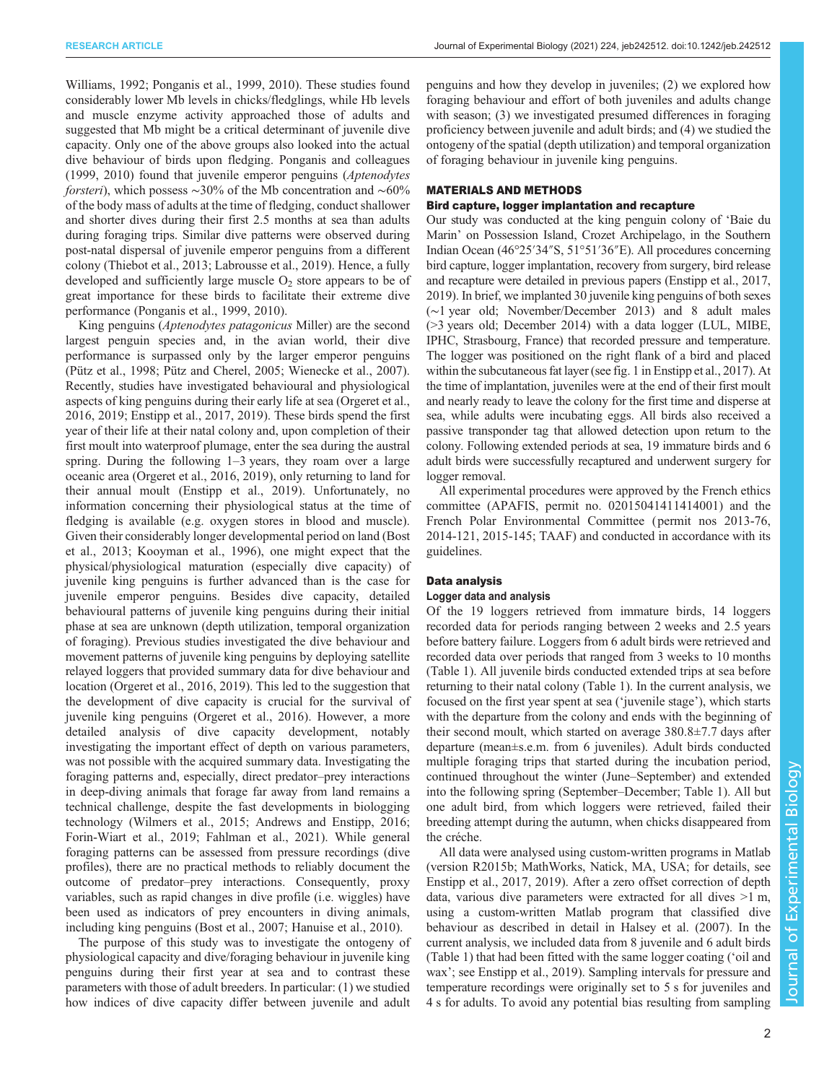[Williams, 1992](#page-14-0); [Ponganis et al., 1999, 2010\)](#page-14-0). These studies found considerably lower Mb levels in chicks/fledglings, while Hb levels and muscle enzyme activity approached those of adults and suggested that Mb might be a critical determinant of juvenile dive capacity. Only one of the above groups also looked into the actual dive behaviour of birds upon fledging. [Ponganis and colleagues](#page-14-0) [\(1999](#page-14-0), [2010](#page-14-0)) found that juvenile emperor penguins (Aptenodytes *forsteri*), which possess ~30% of the Mb concentration and ~60% of the body mass of adults at the time of fledging, conduct shallower and shorter dives during their first 2.5 months at sea than adults during foraging trips. Similar dive patterns were observed during post-natal dispersal of juvenile emperor penguins from a different colony [\(Thiebot et al., 2013](#page-14-0); [Labrousse et al., 2019\)](#page-14-0). Hence, a fully developed and sufficiently large muscle  $O<sub>2</sub>$  store appears to be of great importance for these birds to facilitate their extreme dive performance [\(Ponganis et al., 1999, 2010](#page-14-0)).

King penguins (Aptenodytes patagonicus Miller) are the second largest penguin species and, in the avian world, their dive performance is surpassed only by the larger emperor penguins [\(Pütz et al., 1998](#page-14-0); [Pütz and Cherel, 2005](#page-14-0); [Wienecke et al., 2007\)](#page-14-0). Recently, studies have investigated behavioural and physiological aspects of king penguins during their early life at sea [\(Orgeret et al.,](#page-14-0) [2016](#page-14-0), [2019;](#page-14-0) [Enstipp et al., 2017, 2019\)](#page-13-0). These birds spend the first year of their life at their natal colony and, upon completion of their first moult into waterproof plumage, enter the sea during the austral spring. During the following 1–3 years, they roam over a large oceanic area [\(Orgeret et al., 2016, 2019\)](#page-14-0), only returning to land for their annual moult ([Enstipp et al., 2019](#page-13-0)). Unfortunately, no information concerning their physiological status at the time of fledging is available (e.g. oxygen stores in blood and muscle). Given their considerably longer developmental period on land ([Bost](#page-13-0) [et al., 2013; Kooyman et al., 1996\)](#page-13-0), one might expect that the physical/physiological maturation (especially dive capacity) of juvenile king penguins is further advanced than is the case for juvenile emperor penguins. Besides dive capacity, detailed behavioural patterns of juvenile king penguins during their initial phase at sea are unknown (depth utilization, temporal organization of foraging). Previous studies investigated the dive behaviour and movement patterns of juvenile king penguins by deploying satellite relayed loggers that provided summary data for dive behaviour and location [\(Orgeret et al., 2016, 2019\)](#page-14-0). This led to the suggestion that the development of dive capacity is crucial for the survival of juvenile king penguins ([Orgeret et al., 2016\)](#page-14-0). However, a more detailed analysis of dive capacity development, notably investigating the important effect of depth on various parameters, was not possible with the acquired summary data. Investigating the foraging patterns and, especially, direct predator–prey interactions in deep-diving animals that forage far away from land remains a technical challenge, despite the fast developments in biologging technology [\(Wilmers et al., 2015;](#page-14-0) [Andrews and Enstipp, 2016](#page-13-0); [Forin-Wiart et al., 2019; Fahlman et al., 2021\)](#page-13-0). While general foraging patterns can be assessed from pressure recordings (dive profiles), there are no practical methods to reliably document the outcome of predator–prey interactions. Consequently, proxy variables, such as rapid changes in dive profile (i.e. wiggles) have been used as indicators of prey encounters in diving animals, including king penguins ([Bost et al., 2007](#page-13-0); [Hanuise et al., 2010\)](#page-13-0).

The purpose of this study was to investigate the ontogeny of physiological capacity and dive/foraging behaviour in juvenile king penguins during their first year at sea and to contrast these parameters with those of adult breeders. In particular: (1) we studied how indices of dive capacity differ between juvenile and adult

penguins and how they develop in juveniles; (2) we explored how foraging behaviour and effort of both juveniles and adults change with season; (3) we investigated presumed differences in foraging proficiency between juvenile and adult birds; and (4) we studied the ontogeny of the spatial (depth utilization) and temporal organization of foraging behaviour in juvenile king penguins.

## MATERIALS AND METHODS

#### Bird capture, logger implantation and recapture

Our study was conducted at the king penguin colony of 'Baie du Marin' on Possession Island, Crozet Archipelago, in the Southern Indian Ocean (46°25′34″S, 51°51′36″E). All procedures concerning bird capture, logger implantation, recovery from surgery, bird release and recapture were detailed in previous papers [\(Enstipp et al., 2017,](#page-13-0) [2019\)](#page-13-0). In brief, we implanted 30 juvenile king penguins of both sexes (∼1 year old; November/December 2013) and 8 adult males (>3 years old; December 2014) with a data logger (LUL, MIBE, IPHC, Strasbourg, France) that recorded pressure and temperature. The logger was positioned on the right flank of a bird and placed within the subcutaneous fat layer (see fig. 1 in [Enstipp et al., 2017\)](#page-13-0). At the time of implantation, juveniles were at the end of their first moult and nearly ready to leave the colony for the first time and disperse at sea, while adults were incubating eggs. All birds also received a passive transponder tag that allowed detection upon return to the colony. Following extended periods at sea, 19 immature birds and 6 adult birds were successfully recaptured and underwent surgery for logger removal.

All experimental procedures were approved by the French ethics committee (APAFIS, permit no. 02015041411414001) and the French Polar Environmental Committee ( permit nos 2013-76, 2014-121, 2015-145; TAAF) and conducted in accordance with its guidelines.

## Data analysis

## Logger data and analysis

Of the 19 loggers retrieved from immature birds, 14 loggers recorded data for periods ranging between 2 weeks and 2.5 years before battery failure. Loggers from 6 adult birds were retrieved and recorded data over periods that ranged from 3 weeks to 10 months [\(Table 1\)](#page-2-0). All juvenile birds conducted extended trips at sea before returning to their natal colony [\(Table 1\)](#page-2-0). In the current analysis, we focused on the first year spent at sea ('juvenile stage'), which starts with the departure from the colony and ends with the beginning of their second moult, which started on average 380.8±7.7 days after departure (mean±s.e.m. from 6 juveniles). Adult birds conducted multiple foraging trips that started during the incubation period, continued throughout the winter (June–September) and extended into the following spring (September–December; [Table 1](#page-2-0)). All but one adult bird, from which loggers were retrieved, failed their breeding attempt during the autumn, when chicks disappeared from the créche.

All data were analysed using custom-written programs in Matlab (version R2015b; MathWorks, Natick, MA, USA; for details, see [Enstipp et al., 2017, 2019\)](#page-13-0). After a zero offset correction of depth data, various dive parameters were extracted for all dives >1 m, using a custom-written Matlab program that classified dive behaviour as described in detail in [Halsey et al. \(2007\).](#page-13-0) In the current analysis, we included data from 8 juvenile and 6 adult birds [\(Table 1](#page-2-0)) that had been fitted with the same logger coating ('oil and wax'; see [Enstipp et al., 2019\)](#page-13-0). Sampling intervals for pressure and temperature recordings were originally set to 5 s for juveniles and 4 s for adults. To avoid any potential bias resulting from sampling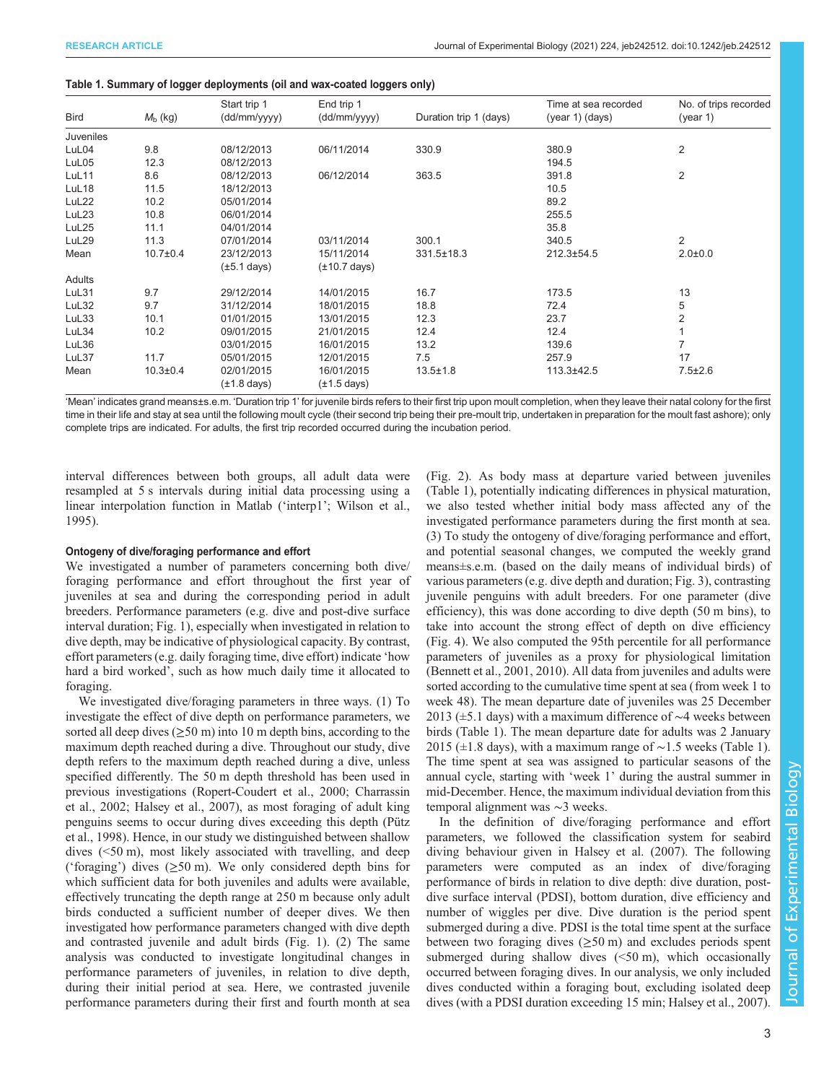#### <span id="page-2-0"></span>Table 1. Summary of logger deployments (oil and wax-coated loggers only)

|                  |                  | Start trip 1     | End trip 1        |                        | Time at sea recorded | No. of trips recorded |
|------------------|------------------|------------------|-------------------|------------------------|----------------------|-----------------------|
| <b>Bird</b>      | $M_{\rm b}$ (kg) | (dd/mm/yyyy)     | (dd/mm/yyyy)      | Duration trip 1 (days) | (year 1) (days)      | (year 1)              |
| <b>Juveniles</b> |                  |                  |                   |                        |                      |                       |
| LuL04            | 9.8              | 08/12/2013       | 06/11/2014        | 330.9                  | 380.9                | $\overline{2}$        |
| LuL05            | 12.3             | 08/12/2013       |                   |                        | 194.5                |                       |
| LuL11            | 8.6              | 08/12/2013       | 06/12/2014        | 363.5                  | 391.8                | $\overline{2}$        |
| LuL18            | 11.5             | 18/12/2013       |                   |                        | 10.5                 |                       |
| LuL22            | 10.2             | 05/01/2014       |                   |                        | 89.2                 |                       |
| LuL23            | 10.8             | 06/01/2014       |                   |                        | 255.5                |                       |
| LuL25            | 11.1             | 04/01/2014       |                   |                        | 35.8                 |                       |
| LuL29            | 11.3             | 07/01/2014       | 03/11/2014        | 300.1                  | 340.5                | $\overline{2}$        |
| Mean             | $10.7 \pm 0.4$   | 23/12/2013       | 15/11/2014        | 331.5±18.3             | 212.3±54.5           | $2.0 + 0.0$           |
|                  |                  | $(\pm 5.1$ days) | $(\pm 10.7$ days) |                        |                      |                       |
| Adults           |                  |                  |                   |                        |                      |                       |
| LuL31            | 9.7              | 29/12/2014       | 14/01/2015        | 16.7                   | 173.5                | 13                    |
| LuL32            | 9.7              | 31/12/2014       | 18/01/2015        | 18.8                   | 72.4                 | 5                     |
| LuL33            | 10.1             | 01/01/2015       | 13/01/2015        | 12.3                   | 23.7                 | $\overline{2}$        |
| LuL34            | 10.2             | 09/01/2015       | 21/01/2015        | 12.4                   | 12.4                 |                       |
| LuL36            |                  | 03/01/2015       | 16/01/2015        | 13.2                   | 139.6                |                       |
| LuL37            | 11.7             | 05/01/2015       | 12/01/2015        | 7.5                    | 257.9                | 17                    |
| Mean             | $10.3 \pm 0.4$   | 02/01/2015       | 16/01/2015        | $13.5 \pm 1.8$         | 113.3±42.5           | $7.5 \pm 2.6$         |
|                  |                  | $(\pm 1.8$ days) | $(\pm 1.5$ days)  |                        |                      |                       |

'Mean' indicates grand means±s.e.m. 'Duration trip 1' for juvenile birds refers to their first trip upon moult completion, when they leave their natal colony for the first time in their life and stay at sea until the following moult cycle (their second trip being their pre-moult trip, undertaken in preparation for the moult fast ashore); only complete trips are indicated. For adults, the first trip recorded occurred during the incubation period.

interval differences between both groups, all adult data were resampled at 5 s intervals during initial data processing using a linear interpolation function in Matlab ('interp1'; [Wilson et al.,](#page-14-0) [1995](#page-14-0)).

#### Ontogeny of dive/foraging performance and effort

We investigated a number of parameters concerning both dive/ foraging performance and effort throughout the first year of juveniles at sea and during the corresponding period in adult breeders. Performance parameters (e.g. dive and post-dive surface interval duration; [Fig. 1](#page-3-0)), especially when investigated in relation to dive depth, may be indicative of physiological capacity. By contrast, effort parameters (e.g. daily foraging time, dive effort) indicate 'how hard a bird worked', such as how much daily time it allocated to foraging.

We investigated dive/foraging parameters in three ways. (1) To investigate the effect of dive depth on performance parameters, we sorted all deep dives  $(\geq 50 \text{ m})$  into 10 m depth bins, according to the maximum depth reached during a dive. Throughout our study, dive depth refers to the maximum depth reached during a dive, unless specified differently. The 50 m depth threshold has been used in previous investigations ([Ropert-Coudert et al., 2000;](#page-14-0) [Charrassin](#page-13-0) [et al., 2002](#page-13-0); [Halsey et al., 2007](#page-13-0)), as most foraging of adult king penguins seems to occur during dives exceeding this depth [\(Pütz](#page-14-0) [et al., 1998\)](#page-14-0). Hence, in our study we distinguished between shallow dives (<50 m), most likely associated with travelling, and deep ('foraging') dives  $(\geq 50 \text{ m})$ . We only considered depth bins for which sufficient data for both juveniles and adults were available, effectively truncating the depth range at 250 m because only adult birds conducted a sufficient number of deeper dives. We then investigated how performance parameters changed with dive depth and contrasted juvenile and adult birds ([Fig. 1](#page-3-0)). (2) The same analysis was conducted to investigate longitudinal changes in performance parameters of juveniles, in relation to dive depth, during their initial period at sea. Here, we contrasted juvenile performance parameters during their first and fourth month at sea [\(Fig. 2\)](#page-4-0). As body mass at departure varied between juveniles (Table 1), potentially indicating differences in physical maturation, we also tested whether initial body mass affected any of the investigated performance parameters during the first month at sea. (3) To study the ontogeny of dive/foraging performance and effort, and potential seasonal changes, we computed the weekly grand means±s.e.m. (based on the daily means of individual birds) of various parameters (e.g. dive depth and duration; [Fig. 3](#page-5-0)), contrasting juvenile penguins with adult breeders. For one parameter (dive efficiency), this was done according to dive depth (50 m bins), to take into account the strong effect of depth on dive efficiency [\(Fig. 4](#page-6-0)). We also computed the 95th percentile for all performance parameters of juveniles as a proxy for physiological limitation [\(Bennett et al., 2001, 2010](#page-13-0)). All data from juveniles and adults were sorted according to the cumulative time spent at sea (from week 1 to week 48). The mean departure date of juveniles was 25 December 2013 (±5.1 days) with a maximum difference of ∼4 weeks between birds (Table 1). The mean departure date for adults was 2 January 2015 (±1.8 days), with a maximum range of ∼1.5 weeks (Table 1). The time spent at sea was assigned to particular seasons of the annual cycle, starting with 'week 1' during the austral summer in mid-December. Hence, the maximum individual deviation from this temporal alignment was ∼3 weeks.

In the definition of dive/foraging performance and effort parameters, we followed the classification system for seabird diving behaviour given in [Halsey et al. \(2007\)](#page-13-0). The following parameters were computed as an index of dive/foraging performance of birds in relation to dive depth: dive duration, postdive surface interval (PDSI), bottom duration, dive efficiency and number of wiggles per dive. Dive duration is the period spent submerged during a dive. PDSI is the total time spent at the surface between two foraging dives  $(\geq 50 \text{ m})$  and excludes periods spent submerged during shallow dives  $(<50 \text{ m})$ , which occasionally occurred between foraging dives. In our analysis, we only included dives conducted within a foraging bout, excluding isolated deep dives (with a PDSI duration exceeding 15 min; [Halsey et al., 2007\)](#page-13-0).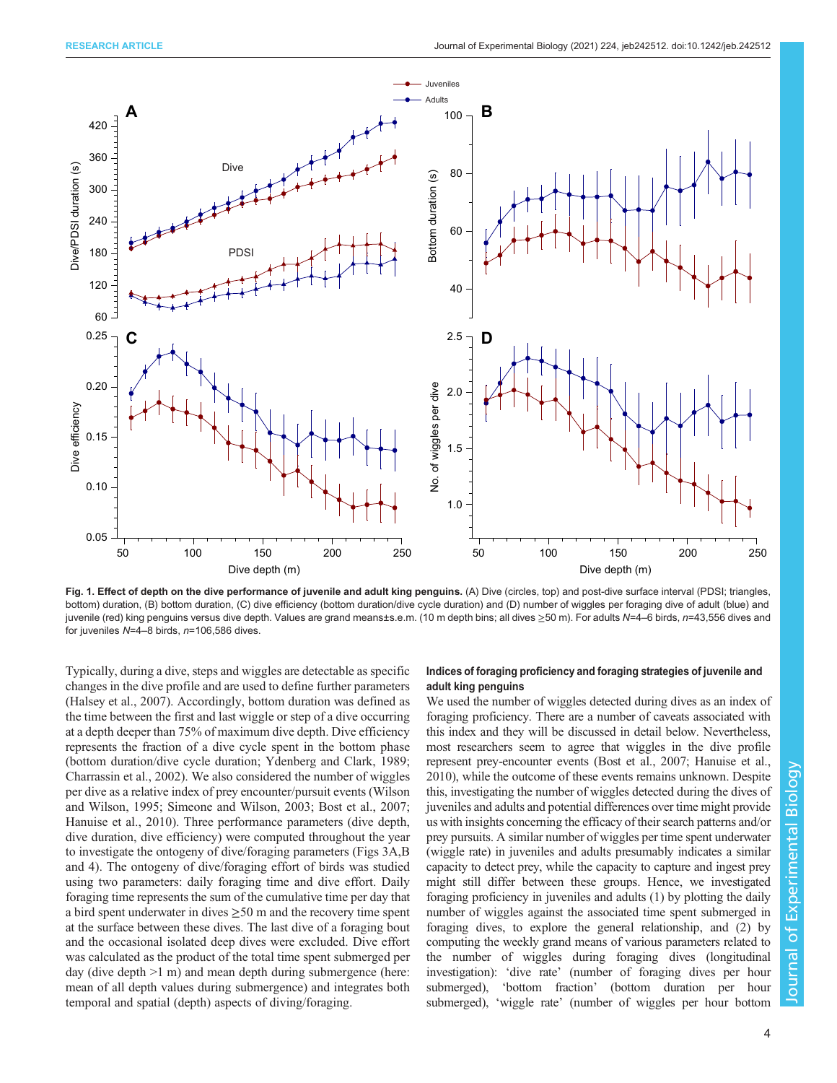<span id="page-3-0"></span>

Fig. 1. Effect of depth on the dive performance of juvenile and adult king penguins. (A) Dive (circles, top) and post-dive surface interval (PDSI; triangles, bottom) duration, (B) bottom duration, (C) dive efficiency (bottom duration/dive cycle duration) and (D) number of wiggles per foraging dive of adult (blue) and juvenile (red) king penguins versus dive depth. Values are grand means±s.e.m. (10 m depth bins; all dives ≥50 m). For adults N=4–6 birds, n=43,556 dives and for juveniles  $N=4-8$  birds,  $n=106,586$  dives.

Typically, during a dive, steps and wiggles are detectable as specific changes in the dive profile and are used to define further parameters [\(Halsey et al., 2007\)](#page-13-0). Accordingly, bottom duration was defined as the time between the first and last wiggle or step of a dive occurring at a depth deeper than 75% of maximum dive depth. Dive efficiency represents the fraction of a dive cycle spent in the bottom phase (bottom duration/dive cycle duration; [Ydenberg and Clark, 1989](#page-14-0); [Charrassin et al., 2002](#page-13-0)). We also considered the number of wiggles per dive as a relative index of prey encounter/pursuit events ([Wilson](#page-14-0) [and Wilson, 1995; Simeone and Wilson, 2003](#page-14-0); [Bost et al., 2007](#page-13-0); [Hanuise et al., 2010\)](#page-13-0). Three performance parameters (dive depth, dive duration, dive efficiency) were computed throughout the year to investigate the ontogeny of dive/foraging parameters [\(Figs 3](#page-5-0)A,B and [4\)](#page-6-0). The ontogeny of dive/foraging effort of birds was studied using two parameters: daily foraging time and dive effort. Daily foraging time represents the sum of the cumulative time per day that a bird spent underwater in dives  $\geq 50$  m and the recovery time spent at the surface between these dives. The last dive of a foraging bout and the occasional isolated deep dives were excluded. Dive effort was calculated as the product of the total time spent submerged per day (dive depth >1 m) and mean depth during submergence (here: mean of all depth values during submergence) and integrates both temporal and spatial (depth) aspects of diving/foraging.

## Indices of foraging proficiency and foraging strategies of juvenile and adult king penguins

We used the number of wiggles detected during dives as an index of foraging proficiency. There are a number of caveats associated with this index and they will be discussed in detail below. Nevertheless, most researchers seem to agree that wiggles in the dive profile represent prey-encounter events ([Bost et al., 2007](#page-13-0); [Hanuise et al.,](#page-13-0) [2010\)](#page-13-0), while the outcome of these events remains unknown. Despite this, investigating the number of wiggles detected during the dives of juveniles and adults and potential differences over time might provide us with insights concerning the efficacy of their search patterns and/or prey pursuits. A similar number of wiggles per time spent underwater (wiggle rate) in juveniles and adults presumably indicates a similar capacity to detect prey, while the capacity to capture and ingest prey might still differ between these groups. Hence, we investigated foraging proficiency in juveniles and adults (1) by plotting the daily number of wiggles against the associated time spent submerged in foraging dives, to explore the general relationship, and (2) by computing the weekly grand means of various parameters related to the number of wiggles during foraging dives (longitudinal investigation): 'dive rate' (number of foraging dives per hour submerged), 'bottom fraction' (bottom duration per hour submerged), 'wiggle rate' (number of wiggles per hour bottom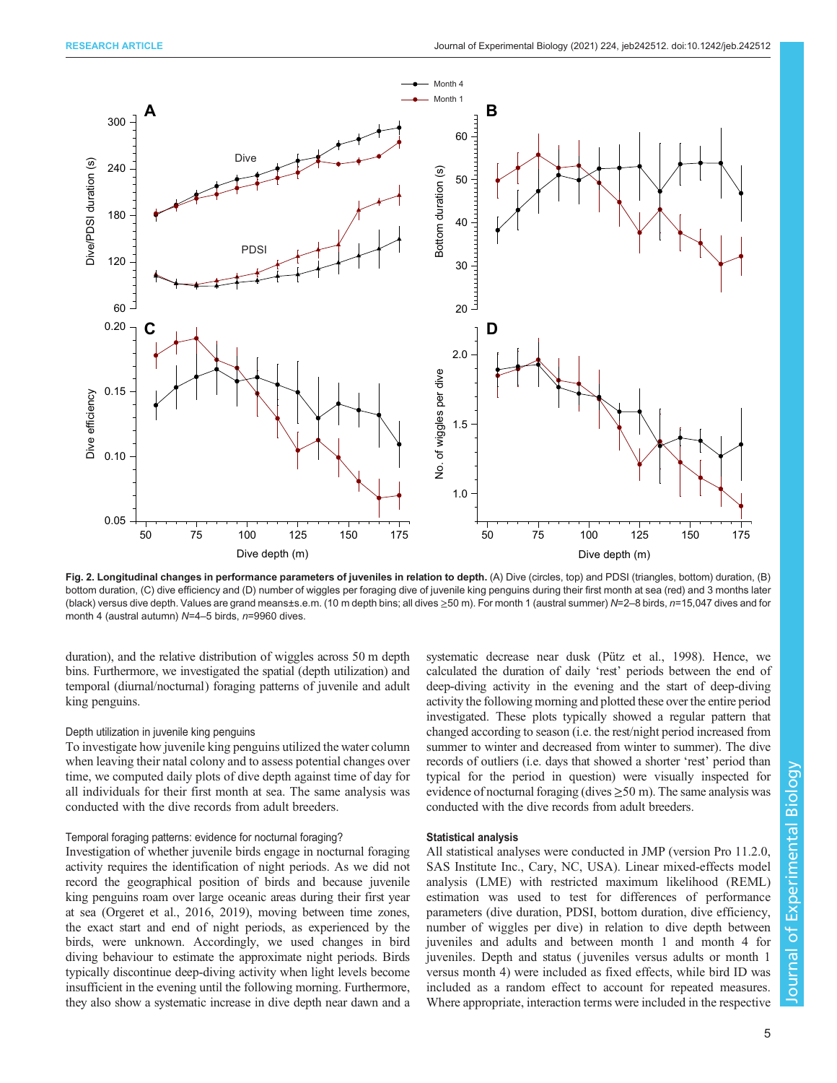<span id="page-4-0"></span>

Fig. 2. Longitudinal changes in performance parameters of juveniles in relation to depth. (A) Dive (circles, top) and PDSI (triangles, bottom) duration, (B) bottom duration, (C) dive efficiency and (D) number of wiggles per foraging dive of juvenile king penguins during their first month at sea (red) and 3 months later (black) versus dive depth. Values are grand means±s.e.m. (10 m depth bins; all dives ≥50 m). For month 1 (austral summer) N=2–8 birds, n=15,047 dives and for month 4 (austral autumn) N=4–5 birds, n=9960 dives.

duration), and the relative distribution of wiggles across 50 m depth bins. Furthermore, we investigated the spatial (depth utilization) and temporal (diurnal/nocturnal) foraging patterns of juvenile and adult king penguins.

#### Depth utilization in juvenile king penguins

To investigate how juvenile king penguins utilized the water column when leaving their natal colony and to assess potential changes over time, we computed daily plots of dive depth against time of day for all individuals for their first month at sea. The same analysis was conducted with the dive records from adult breeders.

#### Temporal foraging patterns: evidence for nocturnal foraging?

Investigation of whether juvenile birds engage in nocturnal foraging activity requires the identification of night periods. As we did not record the geographical position of birds and because juvenile king penguins roam over large oceanic areas during their first year at sea [\(Orgeret et al., 2016](#page-14-0), [2019](#page-14-0)), moving between time zones, the exact start and end of night periods, as experienced by the birds, were unknown. Accordingly, we used changes in bird diving behaviour to estimate the approximate night periods. Birds typically discontinue deep-diving activity when light levels become insufficient in the evening until the following morning. Furthermore, they also show a systematic increase in dive depth near dawn and a

systematic decrease near dusk ([Pütz et al., 1998\)](#page-14-0). Hence, we calculated the duration of daily 'rest' periods between the end of deep-diving activity in the evening and the start of deep-diving activity the following morning and plotted these over the entire period investigated. These plots typically showed a regular pattern that changed according to season (i.e. the rest/night period increased from summer to winter and decreased from winter to summer). The dive records of outliers (i.e. days that showed a shorter 'rest' period than typical for the period in question) were visually inspected for evidence of nocturnal foraging (dives  $\geq$  50 m). The same analysis was conducted with the dive records from adult breeders.

## Statistical analysis

All statistical analyses were conducted in JMP (version Pro 11.2.0, SAS Institute Inc., Cary, NC, USA). Linear mixed-effects model analysis (LME) with restricted maximum likelihood (REML) estimation was used to test for differences of performance parameters (dive duration, PDSI, bottom duration, dive efficiency, number of wiggles per dive) in relation to dive depth between juveniles and adults and between month 1 and month 4 for juveniles. Depth and status ( juveniles versus adults or month 1 versus month 4) were included as fixed effects, while bird ID was included as a random effect to account for repeated measures. Where appropriate, interaction terms were included in the respective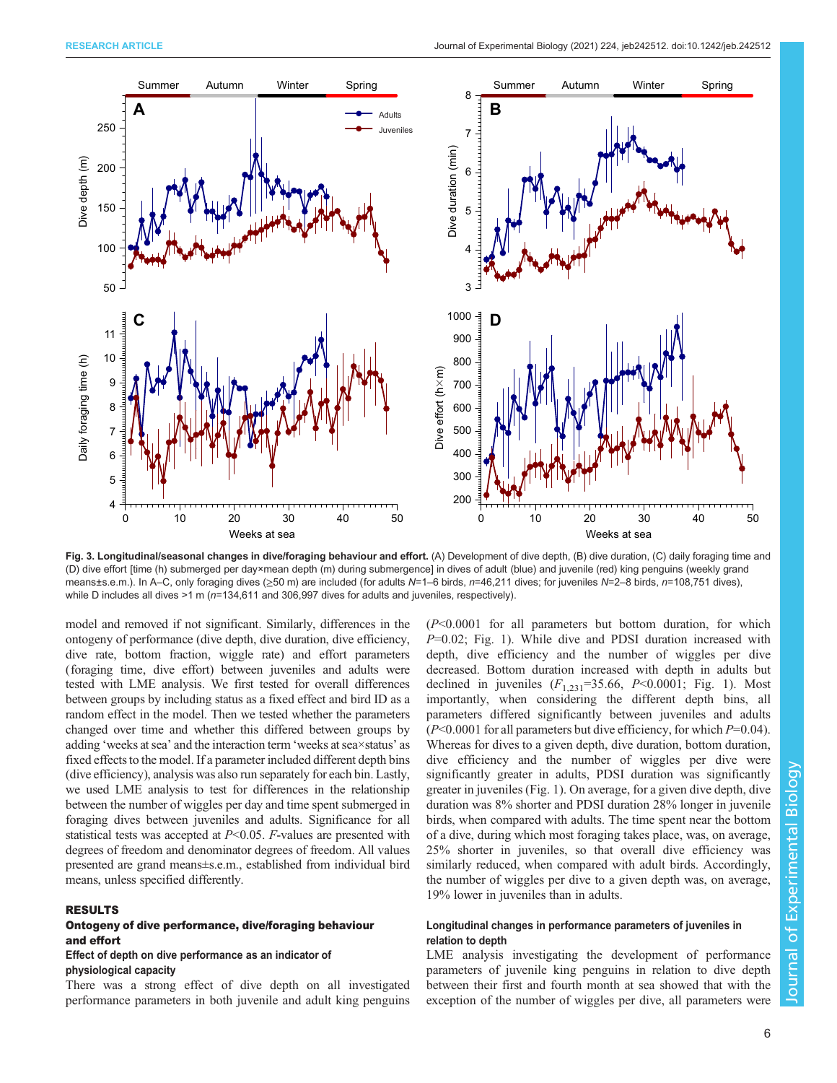<span id="page-5-0"></span>

Fig. 3. Longitudinal/seasonal changes in dive/foraging behaviour and effort. (A) Development of dive depth, (B) dive duration, (C) daily foraging time and (D) dive effort [time (h) submerged per day×mean depth (m) during submergence] in dives of adult (blue) and juvenile (red) king penguins (weekly grand means±s.e.m.). In A–C, only foraging dives (>50 m) are included (for adults N=1–6 birds, n=46,211 dives; for juveniles N=2–8 birds, n=108,751 dives), while D includes all dives >1 m ( $n=134,611$  and 306,997 dives for adults and juveniles, respectively).

model and removed if not significant. Similarly, differences in the ontogeny of performance (dive depth, dive duration, dive efficiency, dive rate, bottom fraction, wiggle rate) and effort parameters (foraging time, dive effort) between juveniles and adults were tested with LME analysis. We first tested for overall differences between groups by including status as a fixed effect and bird ID as a random effect in the model. Then we tested whether the parameters changed over time and whether this differed between groups by adding 'weeks at sea' and the interaction term 'weeks at sea×status' as fixed effects to the model. If a parameter included different depth bins (dive efficiency), analysis was also run separately for each bin. Lastly, we used LME analysis to test for differences in the relationship between the number of wiggles per day and time spent submerged in foraging dives between juveniles and adults. Significance for all statistical tests was accepted at  $P<0.05$ . F-values are presented with degrees of freedom and denominator degrees of freedom. All values presented are grand means±s.e.m., established from individual bird means, unless specified differently.

# RESULTS

# Ontogeny of dive performance, dive/foraging behaviour and effort

## Effect of depth on dive performance as an indicator of physiological capacity

There was a strong effect of dive depth on all investigated performance parameters in both juvenile and adult king penguins (P<0.0001 for all parameters but bottom duration, for which  $P=0.02$ ; [Fig. 1\)](#page-3-0). While dive and PDSI duration increased with depth, dive efficiency and the number of wiggles per dive decreased. Bottom duration increased with depth in adults but declined in juveniles  $(F_{1,231} = 35.66, P < 0.0001$ ; [Fig. 1](#page-3-0)). Most importantly, when considering the different depth bins, all parameters differed significantly between juveniles and adults  $(P<0.0001$  for all parameters but dive efficiency, for which  $P=0.04$ ). Whereas for dives to a given depth, dive duration, bottom duration, dive efficiency and the number of wiggles per dive were significantly greater in adults, PDSI duration was significantly greater in juveniles ([Fig. 1](#page-3-0)). On average, for a given dive depth, dive duration was 8% shorter and PDSI duration 28% longer in juvenile birds, when compared with adults. The time spent near the bottom of a dive, during which most foraging takes place, was, on average, 25% shorter in juveniles, so that overall dive efficiency was similarly reduced, when compared with adult birds. Accordingly, the number of wiggles per dive to a given depth was, on average, 19% lower in juveniles than in adults.

# Longitudinal changes in performance parameters of juveniles in relation to depth

LME analysis investigating the development of performance parameters of juvenile king penguins in relation to dive depth between their first and fourth month at sea showed that with the exception of the number of wiggles per dive, all parameters were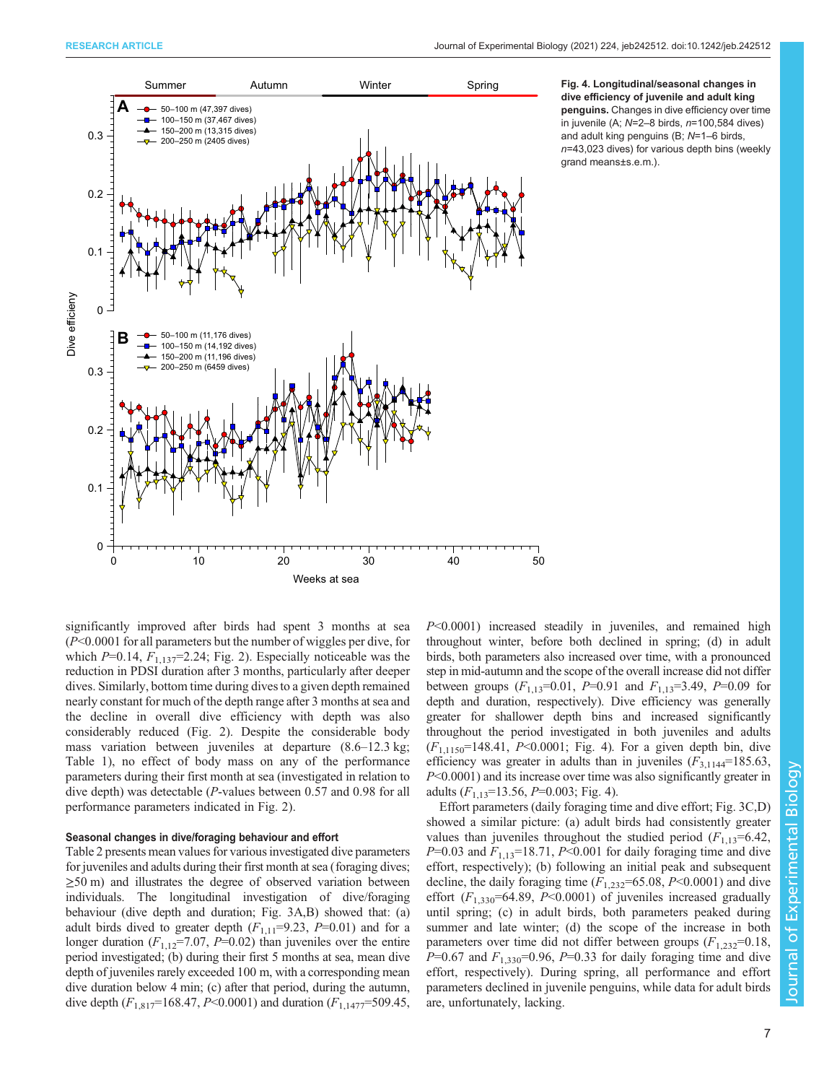<span id="page-6-0"></span>

Fig. 4. Longitudinal/seasonal changes in dive efficiency of juvenile and adult king penguins. Changes in dive efficiency over time in juvenile (A;  $N=2-8$  birds,  $n=100,584$  dives) and adult king penguins (B; N=1–6 birds,  $n=43,023$  dives) for various depth bins (weekly grand means±s.e.m.).

significantly improved after birds had spent 3 months at sea  $(P<0.0001$  for all parameters but the number of wiggles per dive, for which  $P=0.14$ ,  $F_{1,137}=2.24$ ; [Fig. 2](#page-4-0)). Especially noticeable was the reduction in PDSI duration after 3 months, particularly after deeper dives. Similarly, bottom time during dives to a given depth remained nearly constant for much of the depth range after 3 months at sea and the decline in overall dive efficiency with depth was also considerably reduced ([Fig. 2](#page-4-0)). Despite the considerable body mass variation between juveniles at departure (8.6–12.3 kg; [Table 1\)](#page-2-0), no effect of body mass on any of the performance parameters during their first month at sea (investigated in relation to dive depth) was detectable (P-values between 0.57 and 0.98 for all performance parameters indicated in [Fig. 2](#page-4-0)).

## Seasonal changes in dive/foraging behaviour and effort

[Table 2](#page-7-0) presents mean values for various investigated dive parameters for juveniles and adults during their first month at sea (foraging dives;  $\geq$ 50 m) and illustrates the degree of observed variation between individuals. The longitudinal investigation of dive/foraging behaviour (dive depth and duration; [Fig. 3A](#page-5-0),B) showed that: (a) adult birds dived to greater depth  $(F_{1,11}=9.23, P=0.01)$  and for a longer duration  $(F_{1,12}=7.07, P=0.02)$  than juveniles over the entire period investigated; (b) during their first 5 months at sea, mean dive depth of juveniles rarely exceeded 100 m, with a corresponding mean dive duration below 4 min; (c) after that period, during the autumn, dive depth  $(F_{1,817}=168.47, P<0.0001)$  and duration  $(F_{1,1477}=509.45,$  P<0.0001) increased steadily in juveniles, and remained high throughout winter, before both declined in spring; (d) in adult birds, both parameters also increased over time, with a pronounced step in mid-autumn and the scope of the overall increase did not differ between groups  $(F_{1,13}=0.01, P=0.91$  and  $F_{1,13}=3.49, P=0.09$  for depth and duration, respectively). Dive efficiency was generally greater for shallower depth bins and increased significantly throughout the period investigated in both juveniles and adults  $(F_{1,1150}$ =148.41, P<0.0001; Fig. 4). For a given depth bin, dive efficiency was greater in adults than in juveniles  $(F_{3,1144}=185.63)$ , P<0.0001) and its increase over time was also significantly greater in adults  $(F_{1,13}=13.56, P=0.003; Fig. 4)$ .

Effort parameters (daily foraging time and dive effort; [Fig. 3](#page-5-0)C,D) showed a similar picture: (a) adult birds had consistently greater values than juveniles throughout the studied period  $(F_{1,13}=6.42)$ ,  $P=0.03$  and  $F_{1,13}=18.71$ ,  $P<0.001$  for daily foraging time and dive effort, respectively); (b) following an initial peak and subsequent decline, the daily foraging time  $(F_{1,232}=65.08, P<0.0001)$  and dive effort  $(F_{1,330} = 64.89, P<0.0001)$  of juveniles increased gradually until spring; (c) in adult birds, both parameters peaked during summer and late winter; (d) the scope of the increase in both parameters over time did not differ between groups  $(F_{1,232}=0.18,$  $P=0.67$  and  $F_{1,330}=0.96$ ,  $P=0.33$  for daily foraging time and dive effort, respectively). During spring, all performance and effort parameters declined in juvenile penguins, while data for adult birds are, unfortunately, lacking.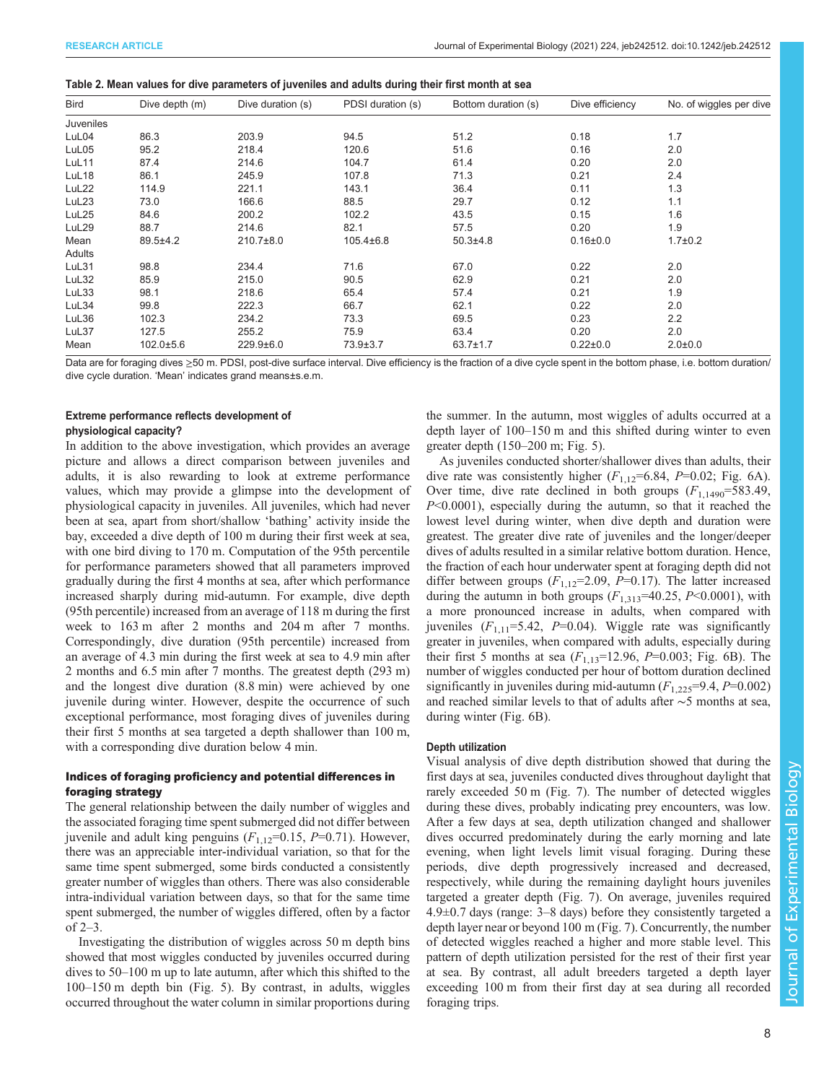| <b>Bird</b>      | Dive depth (m)  | Dive duration (s) | PDSI duration (s) | Bottom duration (s) | Dive efficiency | No. of wiggles per dive |
|------------------|-----------------|-------------------|-------------------|---------------------|-----------------|-------------------------|
| <b>Juveniles</b> |                 |                   |                   |                     |                 |                         |
| LuL04            | 86.3            | 203.9             | 94.5              | 51.2                | 0.18            | 1.7                     |
| LuL05            | 95.2            | 218.4             | 120.6             | 51.6                | 0.16            | 2.0                     |
| LuL11            | 87.4            | 214.6             | 104.7             | 61.4                | 0.20            | 2.0                     |
| LuL18            | 86.1            | 245.9             | 107.8             | 71.3                | 0.21            | 2.4                     |
| LuL22            | 114.9           | 221.1             | 143.1             | 36.4                | 0.11            | 1.3                     |
| LuL23            | 73.0            | 166.6             | 88.5              | 29.7                | 0.12            | 1.1                     |
| LuL25            | 84.6            | 200.2             | 102.2             | 43.5                | 0.15            | 1.6                     |
| LuL29            | 88.7            | 214.6             | 82.1              | 57.5                | 0.20            | 1.9                     |
| Mean             | $89.5 + 4.2$    | $210.7\pm8.0$     | $105.4 \pm 6.8$   | $50.3{\pm}4.8$      | $0.16 \pm 0.0$  | $1.7 \pm 0.2$           |
| Adults           |                 |                   |                   |                     |                 |                         |
| LuL31            | 98.8            | 234.4             | 71.6              | 67.0                | 0.22            | 2.0                     |
| LuL32            | 85.9            | 215.0             | 90.5              | 62.9                | 0.21            | 2.0                     |
| LuL33            | 98.1            | 218.6             | 65.4              | 57.4                | 0.21            | 1.9                     |
| LuL34            | 99.8            | 222.3             | 66.7              | 62.1                | 0.22            | 2.0                     |
| LuL36            | 102.3           | 234.2             | 73.3              | 69.5                | 0.23            | 2.2                     |
| LuL37            | 127.5           | 255.2             | 75.9              | 63.4                | 0.20            | 2.0                     |
| Mean             | $102.0 \pm 5.6$ | 229.9±6.0         | 73.9±3.7          | $63.7 \pm 1.7$      | $0.22 \pm 0.0$  | $2.0 + 0.0$             |

<span id="page-7-0"></span>

| Table 2. Mean values for dive parameters of juveniles and adults during their first month at sea |  |  |
|--------------------------------------------------------------------------------------------------|--|--|
|                                                                                                  |  |  |

Data are for foraging dives ≥50 m. PDSI, post-dive surface interval. Dive efficiency is the fraction of a dive cycle spent in the bottom phase, i.e. bottom duration/ dive cycle duration. 'Mean' indicates grand means±s.e.m.

# Extreme performance reflects development of physiological capacity?

In addition to the above investigation, which provides an average picture and allows a direct comparison between juveniles and adults, it is also rewarding to look at extreme performance values, which may provide a glimpse into the development of physiological capacity in juveniles. All juveniles, which had never been at sea, apart from short/shallow 'bathing' activity inside the bay, exceeded a dive depth of 100 m during their first week at sea, with one bird diving to 170 m. Computation of the 95th percentile for performance parameters showed that all parameters improved gradually during the first 4 months at sea, after which performance increased sharply during mid-autumn. For example, dive depth (95th percentile) increased from an average of 118 m during the first week to 163 m after 2 months and 204 m after 7 months. Correspondingly, dive duration (95th percentile) increased from an average of 4.3 min during the first week at sea to 4.9 min after 2 months and 6.5 min after 7 months. The greatest depth (293 m) and the longest dive duration (8.8 min) were achieved by one juvenile during winter. However, despite the occurrence of such exceptional performance, most foraging dives of juveniles during their first 5 months at sea targeted a depth shallower than 100 m, with a corresponding dive duration below 4 min.

# Indices of foraging proficiency and potential differences in foraging strategy

The general relationship between the daily number of wiggles and the associated foraging time spent submerged did not differ between juvenile and adult king penguins  $(F_{1,12}=0.15, P=0.71)$ . However, there was an appreciable inter-individual variation, so that for the same time spent submerged, some birds conducted a consistently greater number of wiggles than others. There was also considerable intra-individual variation between days, so that for the same time spent submerged, the number of wiggles differed, often by a factor of 2–3.

Investigating the distribution of wiggles across 50 m depth bins showed that most wiggles conducted by juveniles occurred during dives to 50–100 m up to late autumn, after which this shifted to the 100–150 m depth bin ([Fig. 5](#page-8-0)). By contrast, in adults, wiggles occurred throughout the water column in similar proportions during the summer. In the autumn, most wiggles of adults occurred at a depth layer of 100–150 m and this shifted during winter to even greater depth (150–200 m; [Fig. 5\)](#page-8-0).

As juveniles conducted shorter/shallower dives than adults, their dive rate was consistently higher  $(F_{1,12}=6.84, P=0.02;$  [Fig. 6A](#page-9-0)). Over time, dive rate declined in both groups  $(F_{1,1490}=583.49)$ ,  $P<0.0001$ ), especially during the autumn, so that it reached the lowest level during winter, when dive depth and duration were greatest. The greater dive rate of juveniles and the longer/deeper dives of adults resulted in a similar relative bottom duration. Hence, the fraction of each hour underwater spent at foraging depth did not differ between groups  $(F_{1,12}=2.09, P=0.17)$ . The latter increased during the autumn in both groups  $(F_{1,313}=40.25, P<0.0001)$ , with a more pronounced increase in adults, when compared with juveniles  $(F_{1,11} = 5.42, P = 0.04)$ . Wiggle rate was significantly greater in juveniles, when compared with adults, especially during their first 5 months at sea  $(F_{1,13}=12.96, P=0.003;$  [Fig. 6B](#page-9-0)). The number of wiggles conducted per hour of bottom duration declined significantly in juveniles during mid-autumn  $(F_{1,225}=9.4, P=0.002)$ and reached similar levels to that of adults after ∼5 months at sea, during winter [\(Fig. 6](#page-9-0)B).

#### Depth utilization

Visual analysis of dive depth distribution showed that during the first days at sea, juveniles conducted dives throughout daylight that rarely exceeded 50 m ([Fig. 7](#page-10-0)). The number of detected wiggles during these dives, probably indicating prey encounters, was low. After a few days at sea, depth utilization changed and shallower dives occurred predominately during the early morning and late evening, when light levels limit visual foraging. During these periods, dive depth progressively increased and decreased, respectively, while during the remaining daylight hours juveniles targeted a greater depth ([Fig. 7](#page-10-0)). On average, juveniles required 4.9±0.7 days (range: 3–8 days) before they consistently targeted a depth layer near or beyond 100 m [\(Fig. 7\)](#page-10-0). Concurrently, the number of detected wiggles reached a higher and more stable level. This pattern of depth utilization persisted for the rest of their first year at sea. By contrast, all adult breeders targeted a depth layer exceeding 100 m from their first day at sea during all recorded foraging trips.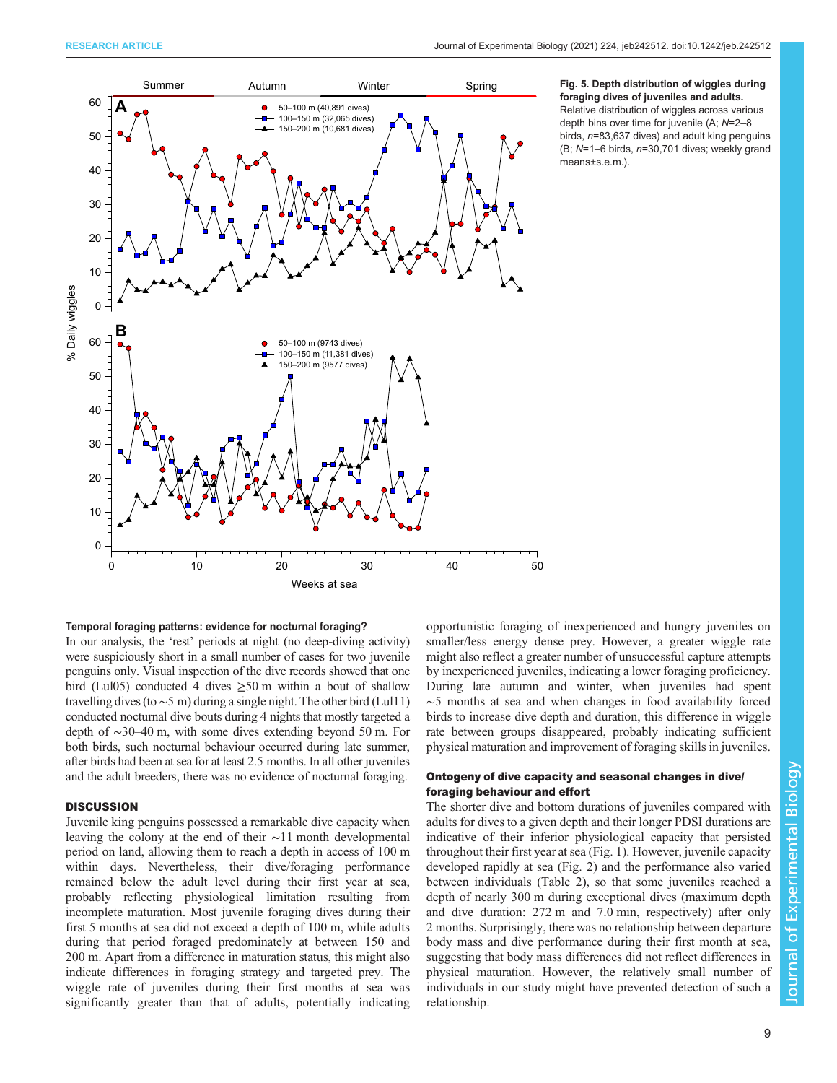<span id="page-8-0"></span>

#### Fig. 5. Depth distribution of wiggles during foraging dives of juveniles and adults. Relative distribution of wiggles across various depth bins over time for juvenile (A; N=2–8 birds, n=83,637 dives) and adult king penguins

#### Temporal foraging patterns: evidence for nocturnal foraging?

In our analysis, the 'rest' periods at night (no deep-diving activity) were suspiciously short in a small number of cases for two juvenile penguins only. Visual inspection of the dive records showed that one bird (Lul05) conducted 4 dives  $\geq$ 50 m within a bout of shallow travelling dives (to ∼5 m) during a single night. The other bird (Lul11) conducted nocturnal dive bouts during 4 nights that mostly targeted a depth of ∼30–40 m, with some dives extending beyond 50 m. For both birds, such nocturnal behaviour occurred during late summer, after birds had been at sea for at least 2.5 months. In all other juveniles and the adult breeders, there was no evidence of nocturnal foraging.

#### **DISCUSSION**

Juvenile king penguins possessed a remarkable dive capacity when leaving the colony at the end of their ∼11 month developmental period on land, allowing them to reach a depth in access of 100 m within days. Nevertheless, their dive/foraging performance remained below the adult level during their first year at sea, probably reflecting physiological limitation resulting from incomplete maturation. Most juvenile foraging dives during their first 5 months at sea did not exceed a depth of 100 m, while adults during that period foraged predominately at between 150 and 200 m. Apart from a difference in maturation status, this might also indicate differences in foraging strategy and targeted prey. The wiggle rate of juveniles during their first months at sea was significantly greater than that of adults, potentially indicating

opportunistic foraging of inexperienced and hungry juveniles on smaller/less energy dense prey. However, a greater wiggle rate might also reflect a greater number of unsuccessful capture attempts by inexperienced juveniles, indicating a lower foraging proficiency. During late autumn and winter, when juveniles had spent ∼5 months at sea and when changes in food availability forced birds to increase dive depth and duration, this difference in wiggle rate between groups disappeared, probably indicating sufficient physical maturation and improvement of foraging skills in juveniles.

# Ontogeny of dive capacity and seasonal changes in dive/ foraging behaviour and effort

The shorter dive and bottom durations of juveniles compared with adults for dives to a given depth and their longer PDSI durations are indicative of their inferior physiological capacity that persisted throughout their first year at sea ([Fig. 1](#page-3-0)). However, juvenile capacity developed rapidly at sea [\(Fig. 2](#page-4-0)) and the performance also varied between individuals [\(Table 2\)](#page-7-0), so that some juveniles reached a depth of nearly 300 m during exceptional dives (maximum depth and dive duration: 272 m and 7.0 min, respectively) after only 2 months. Surprisingly, there was no relationship between departure body mass and dive performance during their first month at sea, suggesting that body mass differences did not reflect differences in physical maturation. However, the relatively small number of individuals in our study might have prevented detection of such a relationship.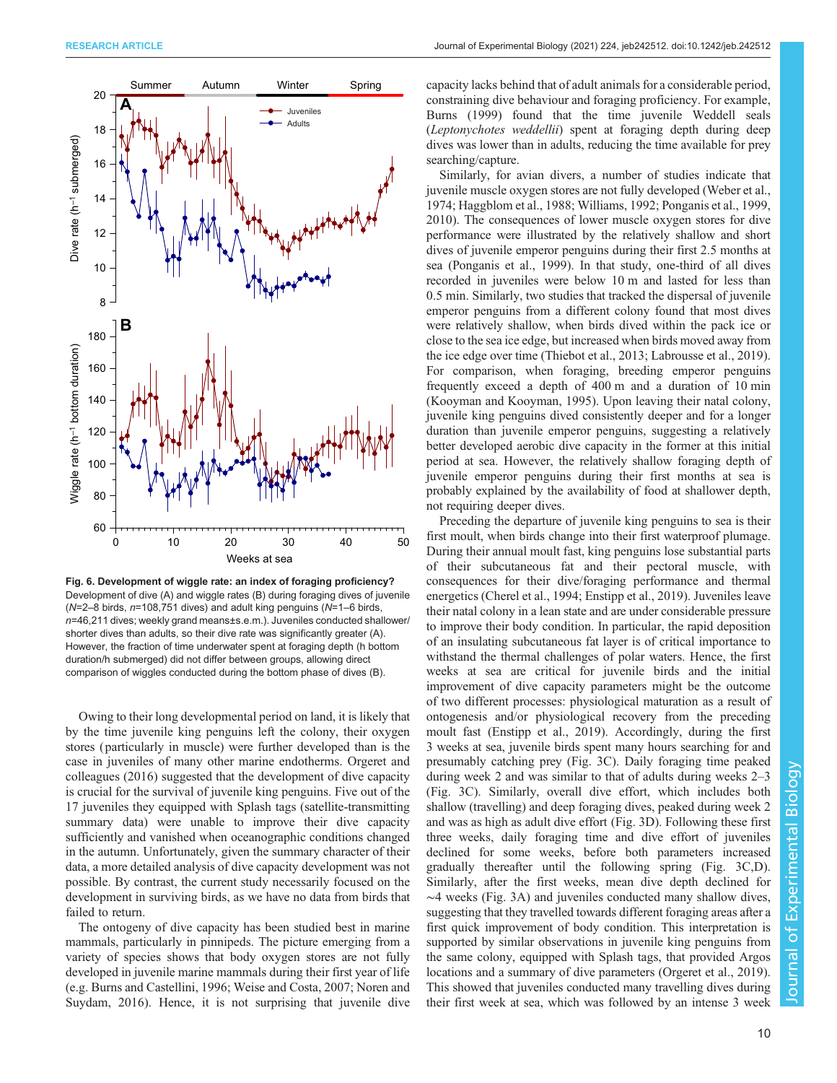<span id="page-9-0"></span>

Fig. 6. Development of wiggle rate: an index of foraging proficiency? Development of dive (A) and wiggle rates (B) during foraging dives of juvenile (N=2–8 birds, n=108,751 dives) and adult king penguins (N=1–6 birds, n=46,211 dives; weekly grand means±s.e.m.). Juveniles conducted shallower/ shorter dives than adults, so their dive rate was significantly greater (A). However, the fraction of time underwater spent at foraging depth (h bottom duration/h submerged) did not differ between groups, allowing direct comparison of wiggles conducted during the bottom phase of dives (B).

Owing to their long developmental period on land, it is likely that by the time juvenile king penguins left the colony, their oxygen stores ( particularly in muscle) were further developed than is the case in juveniles of many other marine endotherms. [Orgeret and](#page-14-0) [colleagues \(2016\)](#page-14-0) suggested that the development of dive capacity is crucial for the survival of juvenile king penguins. Five out of the 17 juveniles they equipped with Splash tags (satellite-transmitting summary data) were unable to improve their dive capacity sufficiently and vanished when oceanographic conditions changed in the autumn. Unfortunately, given the summary character of their data, a more detailed analysis of dive capacity development was not possible. By contrast, the current study necessarily focused on the development in surviving birds, as we have no data from birds that failed to return.

The ontogeny of dive capacity has been studied best in marine mammals, particularly in pinnipeds. The picture emerging from a variety of species shows that body oxygen stores are not fully developed in juvenile marine mammals during their first year of life (e.g. [Burns and Castellini, 1996](#page-13-0); [Weise and Costa, 2007](#page-14-0); [Noren and](#page-14-0) [Suydam, 2016\)](#page-14-0). Hence, it is not surprising that juvenile dive capacity lacks behind that of adult animals for a considerable period, constraining dive behaviour and foraging proficiency. For example, [Burns \(1999\)](#page-13-0) found that the time juvenile Weddell seals (Leptonychotes weddellii) spent at foraging depth during deep dives was lower than in adults, reducing the time available for prey searching/capture.

Similarly, for avian divers, a number of studies indicate that juvenile muscle oxygen stores are not fully developed [\(Weber et al.,](#page-14-0) [1974;](#page-14-0) [Haggblom et al., 1988](#page-13-0); [Williams, 1992; Ponganis et al., 1999,](#page-14-0) [2010\)](#page-14-0). The consequences of lower muscle oxygen stores for dive performance were illustrated by the relatively shallow and short dives of juvenile emperor penguins during their first 2.5 months at sea [\(Ponganis et al., 1999\)](#page-14-0). In that study, one-third of all dives recorded in juveniles were below 10 m and lasted for less than 0.5 min. Similarly, two studies that tracked the dispersal of juvenile emperor penguins from a different colony found that most dives were relatively shallow, when birds dived within the pack ice or close to the sea ice edge, but increased when birds moved away from the ice edge over time ([Thiebot et al., 2013; Labrousse et al., 2019\)](#page-14-0). For comparison, when foraging, breeding emperor penguins frequently exceed a depth of 400 m and a duration of 10 min [\(Kooyman and Kooyman, 1995](#page-13-0)). Upon leaving their natal colony, juvenile king penguins dived consistently deeper and for a longer duration than juvenile emperor penguins, suggesting a relatively better developed aerobic dive capacity in the former at this initial period at sea. However, the relatively shallow foraging depth of juvenile emperor penguins during their first months at sea is probably explained by the availability of food at shallower depth, not requiring deeper dives.

Preceding the departure of juvenile king penguins to sea is their first moult, when birds change into their first waterproof plumage. During their annual moult fast, king penguins lose substantial parts of their subcutaneous fat and their pectoral muscle, with consequences for their dive/foraging performance and thermal energetics [\(Cherel et al., 1994](#page-13-0); [Enstipp et al., 2019](#page-13-0)). Juveniles leave their natal colony in a lean state and are under considerable pressure to improve their body condition. In particular, the rapid deposition of an insulating subcutaneous fat layer is of critical importance to withstand the thermal challenges of polar waters. Hence, the first weeks at sea are critical for juvenile birds and the initial improvement of dive capacity parameters might be the outcome of two different processes: physiological maturation as a result of ontogenesis and/or physiological recovery from the preceding moult fast [\(Enstipp et al., 2019\)](#page-13-0). Accordingly, during the first 3 weeks at sea, juvenile birds spent many hours searching for and presumably catching prey [\(Fig. 3C](#page-5-0)). Daily foraging time peaked during week 2 and was similar to that of adults during weeks 2–3 [\(Fig. 3](#page-5-0)C). Similarly, overall dive effort, which includes both shallow (travelling) and deep foraging dives, peaked during week 2 and was as high as adult dive effort [\(Fig. 3](#page-5-0)D). Following these first three weeks, daily foraging time and dive effort of juveniles declined for some weeks, before both parameters increased gradually thereafter until the following spring [\(Fig. 3C](#page-5-0),D). Similarly, after the first weeks, mean dive depth declined for ∼4 weeks ([Fig. 3](#page-5-0)A) and juveniles conducted many shallow dives, suggesting that they travelled towards different foraging areas after a first quick improvement of body condition. This interpretation is supported by similar observations in juvenile king penguins from the same colony, equipped with Splash tags, that provided Argos locations and a summary of dive parameters ([Orgeret et al., 2019\)](#page-14-0). This showed that juveniles conducted many travelling dives during their first week at sea, which was followed by an intense 3 week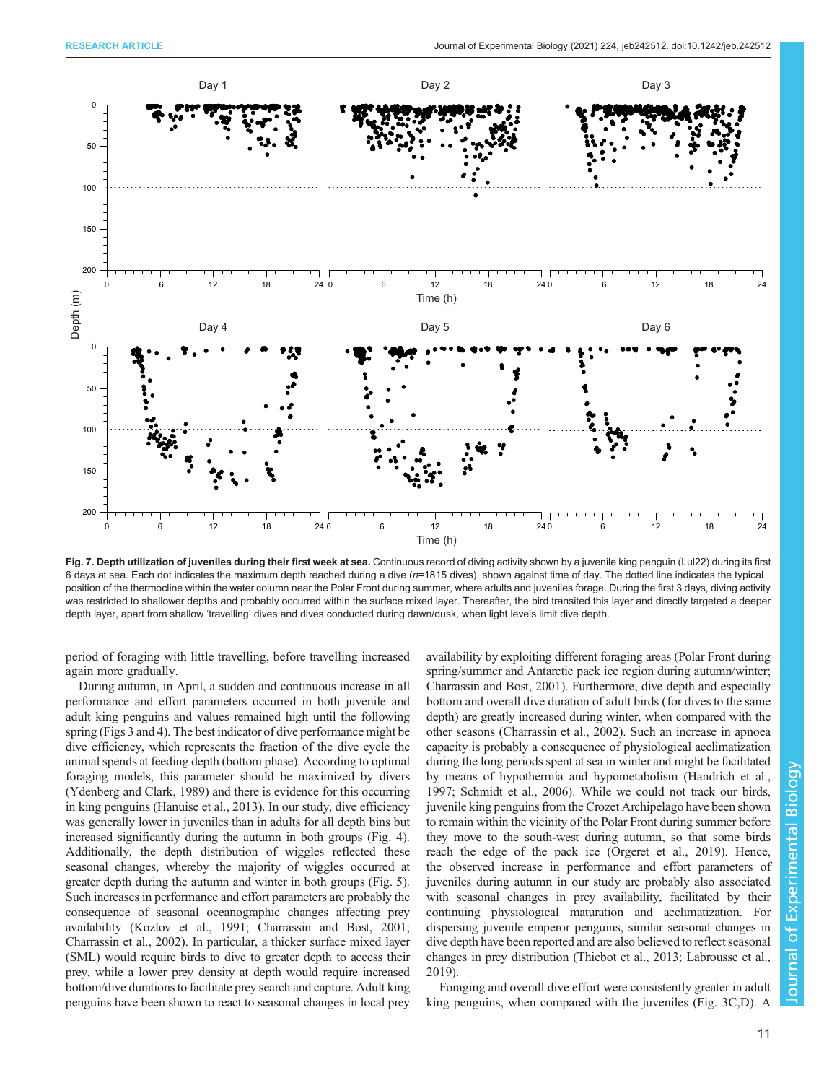<span id="page-10-0"></span>

Fig. 7. Depth utilization of juveniles during their first week at sea. Continuous record of diving activity shown by a juvenile king penguin (Lul22) during its first 6 days at sea. Each dot indicates the maximum depth reached during a dive (n=1815 dives), shown against time of day. The dotted line indicates the typical position of the thermocline within the water column near the Polar Front during summer, where adults and juveniles forage. During the first 3 days, diving activity was restricted to shallower depths and probably occurred within the surface mixed layer. Thereafter, the bird transited this layer and directly targeted a deeper depth layer, apart from shallow 'travelling' dives and dives conducted during dawn/dusk, when light levels limit dive depth.

period of foraging with little travelling, before travelling increased again more gradually.

During autumn, in April, a sudden and continuous increase in all performance and effort parameters occurred in both juvenile and adult king penguins and values remained high until the following spring ([Figs 3](#page-5-0) and [4\)](#page-6-0). The best indicator of dive performance might be dive efficiency, which represents the fraction of the dive cycle the animal spends at feeding depth (bottom phase). According to optimal foraging models, this parameter should be maximized by divers [\(Ydenberg and Clark, 1989\)](#page-14-0) and there is evidence for this occurring in king penguins [\(Hanuise et al., 2013\)](#page-13-0). In our study, dive efficiency was generally lower in juveniles than in adults for all depth bins but increased significantly during the autumn in both groups ([Fig. 4\)](#page-6-0). Additionally, the depth distribution of wiggles reflected these seasonal changes, whereby the majority of wiggles occurred at greater depth during the autumn and winter in both groups ([Fig. 5\)](#page-8-0). Such increases in performance and effort parameters are probably the consequence of seasonal oceanographic changes affecting prey availability [\(Kozlov et al., 1991; Charrassin and Bost, 2001](#page-13-0); [Charrassin et al., 2002](#page-13-0)). In particular, a thicker surface mixed layer (SML) would require birds to dive to greater depth to access their prey, while a lower prey density at depth would require increased bottom/dive durations to facilitate prey search and capture. Adult king penguins have been shown to react to seasonal changes in local prey

availability by exploiting different foraging areas (Polar Front during spring/summer and Antarctic pack ice region during autumn/winter; [Charrassin and Bost, 2001\)](#page-13-0). Furthermore, dive depth and especially bottom and overall dive duration of adult birds (for dives to the same depth) are greatly increased during winter, when compared with the other seasons [\(Charrassin et al., 2002\)](#page-13-0). Such an increase in apnoea capacity is probably a consequence of physiological acclimatization during the long periods spent at sea in winter and might be facilitated by means of hypothermia and hypometabolism [\(Handrich et al.,](#page-13-0) [1997;](#page-13-0) [Schmidt et al., 2006\)](#page-14-0). While we could not track our birds, juvenile king penguins from the Crozet Archipelago have been shown to remain within the vicinity of the Polar Front during summer before they move to the south-west during autumn, so that some birds reach the edge of the pack ice [\(Orgeret et al., 2019](#page-14-0)). Hence, the observed increase in performance and effort parameters of juveniles during autumn in our study are probably also associated with seasonal changes in prey availability, facilitated by their continuing physiological maturation and acclimatization. For dispersing juvenile emperor penguins, similar seasonal changes in dive depth have been reported and are also believed to reflect seasonal changes in prey distribution [\(Thiebot et al., 2013; Labrousse et al.,](#page-14-0) [2019\)](#page-14-0).

Foraging and overall dive effort were consistently greater in adult king penguins, when compared with the juveniles [\(Fig. 3C](#page-5-0),D). A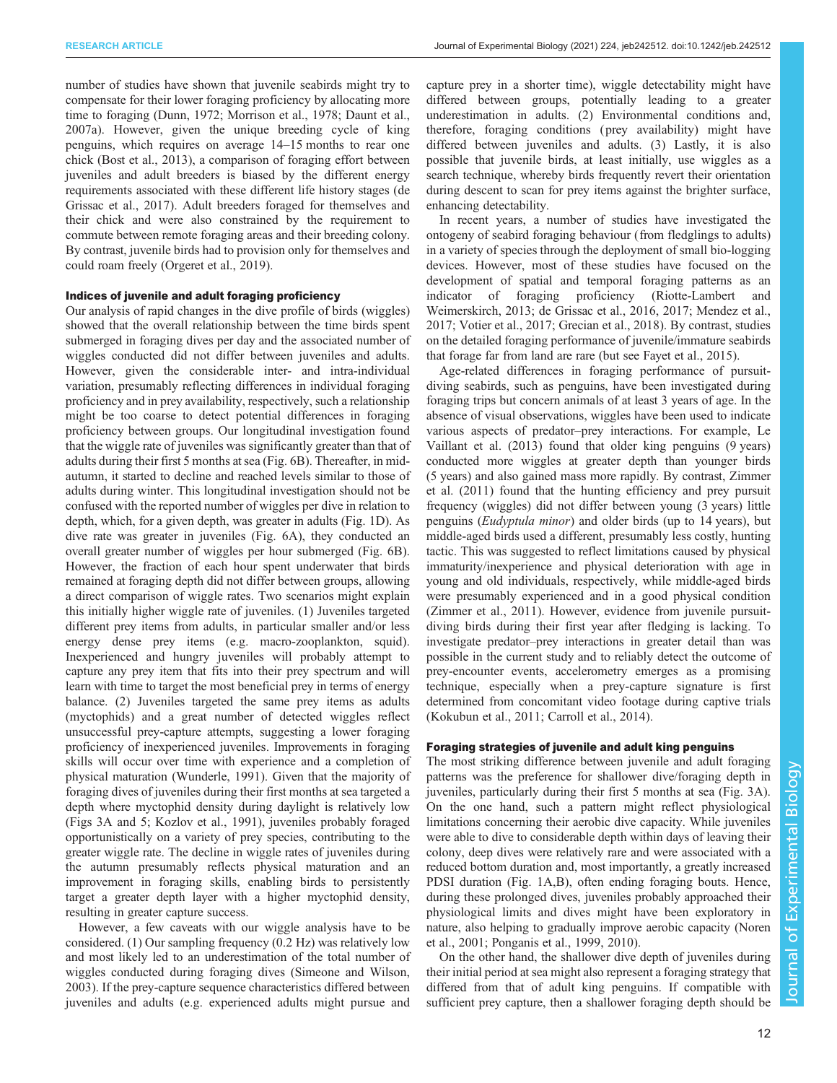number of studies have shown that juvenile seabirds might try to compensate for their lower foraging proficiency by allocating more time to foraging [\(Dunn, 1972;](#page-13-0) [Morrison et al., 1978](#page-14-0); [Daunt et al.,](#page-13-0) [2007a](#page-13-0)). However, given the unique breeding cycle of king penguins, which requires on average 14–15 months to rear one chick [\(Bost et al., 2013\)](#page-13-0), a comparison of foraging effort between juveniles and adult breeders is biased by the different energy requirements associated with these different life history stages [\(de](#page-13-0) [Grissac et al., 2017](#page-13-0)). Adult breeders foraged for themselves and their chick and were also constrained by the requirement to commute between remote foraging areas and their breeding colony. By contrast, juvenile birds had to provision only for themselves and could roam freely ([Orgeret et al., 2019\)](#page-14-0).

## Indices of juvenile and adult foraging proficiency

Our analysis of rapid changes in the dive profile of birds (wiggles) showed that the overall relationship between the time birds spent submerged in foraging dives per day and the associated number of wiggles conducted did not differ between juveniles and adults. However, given the considerable inter- and intra-individual variation, presumably reflecting differences in individual foraging proficiency and in prey availability, respectively, such a relationship might be too coarse to detect potential differences in foraging proficiency between groups. Our longitudinal investigation found that the wiggle rate of juveniles was significantly greater than that of adults during their first 5 months at sea [\(Fig. 6B](#page-9-0)). Thereafter, in midautumn, it started to decline and reached levels similar to those of adults during winter. This longitudinal investigation should not be confused with the reported number of wiggles per dive in relation to depth, which, for a given depth, was greater in adults ([Fig. 1D](#page-3-0)). As dive rate was greater in juveniles [\(Fig. 6](#page-9-0)A), they conducted an overall greater number of wiggles per hour submerged [\(Fig. 6](#page-9-0)B). However, the fraction of each hour spent underwater that birds remained at foraging depth did not differ between groups, allowing a direct comparison of wiggle rates. Two scenarios might explain this initially higher wiggle rate of juveniles. (1) Juveniles targeted different prey items from adults, in particular smaller and/or less energy dense prey items (e.g. macro-zooplankton, squid). Inexperienced and hungry juveniles will probably attempt to capture any prey item that fits into their prey spectrum and will learn with time to target the most beneficial prey in terms of energy balance. (2) Juveniles targeted the same prey items as adults (myctophids) and a great number of detected wiggles reflect unsuccessful prey-capture attempts, suggesting a lower foraging proficiency of inexperienced juveniles. Improvements in foraging skills will occur over time with experience and a completion of physical maturation ([Wunderle, 1991\)](#page-14-0). Given that the majority of foraging dives of juveniles during their first months at sea targeted a depth where myctophid density during daylight is relatively low [\(Figs 3A](#page-5-0) and [5;](#page-8-0) [Kozlov et al., 1991\)](#page-13-0), juveniles probably foraged opportunistically on a variety of prey species, contributing to the greater wiggle rate. The decline in wiggle rates of juveniles during the autumn presumably reflects physical maturation and an improvement in foraging skills, enabling birds to persistently target a greater depth layer with a higher myctophid density, resulting in greater capture success.

However, a few caveats with our wiggle analysis have to be considered. (1) Our sampling frequency (0.2 Hz) was relatively low and most likely led to an underestimation of the total number of wiggles conducted during foraging dives ([Simeone and Wilson,](#page-14-0) [2003](#page-14-0)). If the prey-capture sequence characteristics differed between juveniles and adults (e.g. experienced adults might pursue and

capture prey in a shorter time), wiggle detectability might have differed between groups, potentially leading to a greater underestimation in adults. (2) Environmental conditions and, therefore, foraging conditions ( prey availability) might have differed between juveniles and adults. (3) Lastly, it is also possible that juvenile birds, at least initially, use wiggles as a search technique, whereby birds frequently revert their orientation during descent to scan for prey items against the brighter surface, enhancing detectability.

In recent years, a number of studies have investigated the ontogeny of seabird foraging behaviour (from fledglings to adults) in a variety of species through the deployment of small bio-logging devices. However, most of these studies have focused on the development of spatial and temporal foraging patterns as an indicator of foraging proficiency ([Riotte-Lambert and](#page-14-0) [Weimerskirch, 2013;](#page-14-0) [de Grissac et al., 2016, 2017](#page-13-0); [Mendez et al.,](#page-14-0) [2017; Votier et al., 2017;](#page-14-0) [Grecian et al., 2018\)](#page-13-0). By contrast, studies on the detailed foraging performance of juvenile/immature seabirds that forage far from land are rare (but see [Fayet et al., 2015](#page-13-0)).

Age-related differences in foraging performance of pursuitdiving seabirds, such as penguins, have been investigated during foraging trips but concern animals of at least 3 years of age. In the absence of visual observations, wiggles have been used to indicate various aspects of predator–prey interactions. For example, [Le](#page-14-0) [Vaillant et al. \(2013\)](#page-14-0) found that older king penguins (9 years) conducted more wiggles at greater depth than younger birds (5 years) and also gained mass more rapidly. By contrast, [Zimmer](#page-14-0) [et al. \(2011\)](#page-14-0) found that the hunting efficiency and prey pursuit frequency (wiggles) did not differ between young (3 years) little penguins (Eudyptula minor) and older birds (up to 14 years), but middle-aged birds used a different, presumably less costly, hunting tactic. This was suggested to reflect limitations caused by physical immaturity/inexperience and physical deterioration with age in young and old individuals, respectively, while middle-aged birds were presumably experienced and in a good physical condition [\(Zimmer et al., 2011](#page-14-0)). However, evidence from juvenile pursuitdiving birds during their first year after fledging is lacking. To investigate predator–prey interactions in greater detail than was possible in the current study and to reliably detect the outcome of prey-encounter events, accelerometry emerges as a promising technique, especially when a prey-capture signature is first determined from concomitant video footage during captive trials [\(Kokubun et al., 2011; Carroll et al., 2014\)](#page-13-0).

#### Foraging strategies of juvenile and adult king penguins

The most striking difference between juvenile and adult foraging patterns was the preference for shallower dive/foraging depth in juveniles, particularly during their first 5 months at sea [\(Fig. 3A](#page-5-0)). On the one hand, such a pattern might reflect physiological limitations concerning their aerobic dive capacity. While juveniles were able to dive to considerable depth within days of leaving their colony, deep dives were relatively rare and were associated with a reduced bottom duration and, most importantly, a greatly increased PDSI duration [\(Fig. 1A](#page-3-0),B), often ending foraging bouts. Hence, during these prolonged dives, juveniles probably approached their physiological limits and dives might have been exploratory in nature, also helping to gradually improve aerobic capacity ([Noren](#page-14-0) [et al., 2001; Ponganis et al., 1999, 2010\)](#page-14-0).

On the other hand, the shallower dive depth of juveniles during their initial period at sea might also represent a foraging strategy that differed from that of adult king penguins. If compatible with sufficient prey capture, then a shallower foraging depth should be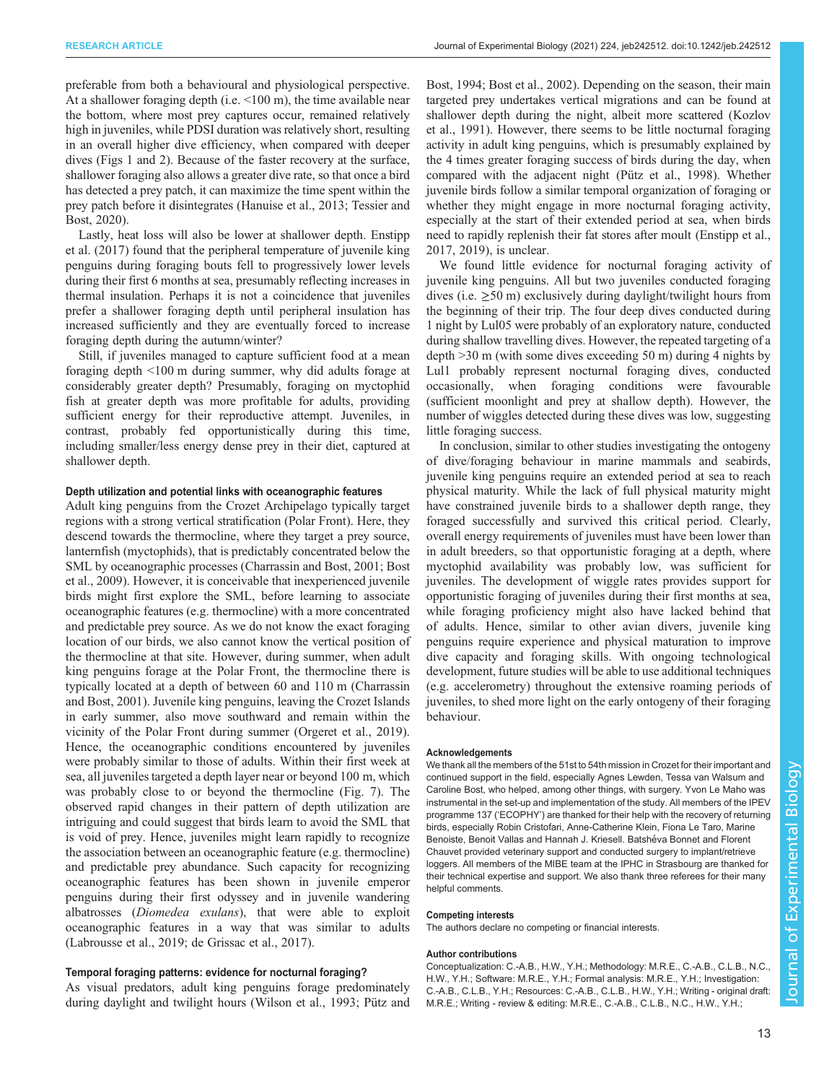preferable from both a behavioural and physiological perspective. At a shallower foraging depth (i.e.  $\leq 100$  m), the time available near the bottom, where most prey captures occur, remained relatively high in juveniles, while PDSI duration was relatively short, resulting in an overall higher dive efficiency, when compared with deeper dives ([Figs 1](#page-3-0) and [2](#page-4-0)). Because of the faster recovery at the surface, shallower foraging also allows a greater dive rate, so that once a bird has detected a prey patch, it can maximize the time spent within the prey patch before it disintegrates [\(Hanuise et al., 2013](#page-13-0); [Tessier and](#page-14-0) [Bost, 2020](#page-14-0)).

Lastly, heat loss will also be lower at shallower depth. [Enstipp](#page-13-0) [et al. \(2017\)](#page-13-0) found that the peripheral temperature of juvenile king penguins during foraging bouts fell to progressively lower levels during their first 6 months at sea, presumably reflecting increases in thermal insulation. Perhaps it is not a coincidence that juveniles prefer a shallower foraging depth until peripheral insulation has increased sufficiently and they are eventually forced to increase foraging depth during the autumn/winter?

Still, if juveniles managed to capture sufficient food at a mean foraging depth <100 m during summer, why did adults forage at considerably greater depth? Presumably, foraging on myctophid fish at greater depth was more profitable for adults, providing sufficient energy for their reproductive attempt. Juveniles, in contrast, probably fed opportunistically during this time, including smaller/less energy dense prey in their diet, captured at shallower depth.

#### Depth utilization and potential links with oceanographic features

Adult king penguins from the Crozet Archipelago typically target regions with a strong vertical stratification (Polar Front). Here, they descend towards the thermocline, where they target a prey source, lanternfish (myctophids), that is predictably concentrated below the SML by oceanographic processes [\(Charrassin and Bost, 2001](#page-13-0); [Bost](#page-13-0) [et al., 2009\)](#page-13-0). However, it is conceivable that inexperienced juvenile birds might first explore the SML, before learning to associate oceanographic features (e.g. thermocline) with a more concentrated and predictable prey source. As we do not know the exact foraging location of our birds, we also cannot know the vertical position of the thermocline at that site. However, during summer, when adult king penguins forage at the Polar Front, the thermocline there is typically located at a depth of between 60 and 110 m ([Charrassin](#page-13-0) [and Bost, 2001](#page-13-0)). Juvenile king penguins, leaving the Crozet Islands in early summer, also move southward and remain within the vicinity of the Polar Front during summer [\(Orgeret et al., 2019\)](#page-14-0). Hence, the oceanographic conditions encountered by juveniles were probably similar to those of adults. Within their first week at sea, all juveniles targeted a depth layer near or beyond 100 m, which was probably close to or beyond the thermocline ([Fig. 7\)](#page-10-0). The observed rapid changes in their pattern of depth utilization are intriguing and could suggest that birds learn to avoid the SML that is void of prey. Hence, juveniles might learn rapidly to recognize the association between an oceanographic feature (e.g. thermocline) and predictable prey abundance. Such capacity for recognizing oceanographic features has been shown in juvenile emperor penguins during their first odyssey and in juvenile wandering albatrosses (Diomedea exulans), that were able to exploit oceanographic features in a way that was similar to adults [\(Labrousse et al., 2019;](#page-14-0) [de Grissac et al., 2017\)](#page-13-0).

#### Temporal foraging patterns: evidence for nocturnal foraging?

As visual predators, adult king penguins forage predominately during daylight and twilight hours ([Wilson et al., 1993; Pütz and](#page-14-0) [Bost, 1994;](#page-14-0) [Bost et al., 2002\)](#page-13-0). Depending on the season, their main targeted prey undertakes vertical migrations and can be found at shallower depth during the night, albeit more scattered [\(Kozlov](#page-13-0) [et al., 1991](#page-13-0)). However, there seems to be little nocturnal foraging activity in adult king penguins, which is presumably explained by the 4 times greater foraging success of birds during the day, when compared with the adjacent night ([Pütz et al., 1998\)](#page-14-0). Whether juvenile birds follow a similar temporal organization of foraging or whether they might engage in more nocturnal foraging activity, especially at the start of their extended period at sea, when birds need to rapidly replenish their fat stores after moult ([Enstipp et al.,](#page-13-0) [2017, 2019](#page-13-0)), is unclear.

We found little evidence for nocturnal foraging activity of juvenile king penguins. All but two juveniles conducted foraging dives (i.e.  $\geq$ 50 m) exclusively during daylight/twilight hours from the beginning of their trip. The four deep dives conducted during 1 night by Lul05 were probably of an exploratory nature, conducted during shallow travelling dives. However, the repeated targeting of a depth >30 m (with some dives exceeding 50 m) during 4 nights by Lul1 probably represent nocturnal foraging dives, conducted occasionally, when foraging conditions were favourable (sufficient moonlight and prey at shallow depth). However, the number of wiggles detected during these dives was low, suggesting little foraging success.

In conclusion, similar to other studies investigating the ontogeny of dive/foraging behaviour in marine mammals and seabirds, juvenile king penguins require an extended period at sea to reach physical maturity. While the lack of full physical maturity might have constrained juvenile birds to a shallower depth range, they foraged successfully and survived this critical period. Clearly, overall energy requirements of juveniles must have been lower than in adult breeders, so that opportunistic foraging at a depth, where myctophid availability was probably low, was sufficient for juveniles. The development of wiggle rates provides support for opportunistic foraging of juveniles during their first months at sea, while foraging proficiency might also have lacked behind that of adults. Hence, similar to other avian divers, juvenile king penguins require experience and physical maturation to improve dive capacity and foraging skills. With ongoing technological development, future studies will be able to use additional techniques (e.g. accelerometry) throughout the extensive roaming periods of juveniles, to shed more light on the early ontogeny of their foraging behaviour.

#### Acknowledgements

We thank all the members of the 51st to 54th mission in Crozet for their important and continued support in the field, especially Agnes Lewden, Tessa van Walsum and Caroline Bost, who helped, among other things, with surgery. Yvon Le Maho was instrumental in the set-up and implementation of the study. All members of the IPEV programme 137 ('ECOPHY') are thanked for their help with the recovery of returning birds, especially Robin Cristofari, Anne-Catherine Klein, Fiona Le Taro, Marine Benoiste, Benoit Vallas and Hannah J. Kriesell. Batshéva Bonnet and Florent Chauvet provided veterinary support and conducted surgery to implant/retrieve loggers. All members of the MIBE team at the IPHC in Strasbourg are thanked for their technical expertise and support. We also thank three referees for their many helpful comments.

#### Competing interests

The authors declare no competing or financial interests.

#### Author contributions

Conceptualization: C.-A.B., H.W., Y.H.; Methodology: M.R.E., C.-A.B., C.L.B., N.C., H.W., Y.H.; Software: M.R.E., Y.H.; Formal analysis: M.R.E., Y.H.; Investigation: C.-A.B., C.L.B., Y.H.; Resources: C.-A.B., C.L.B., H.W., Y.H.; Writing - original draft: M.R.E.; Writing - review & editing: M.R.E., C.-A.B., C.L.B., N.C., H.W., Y.H.;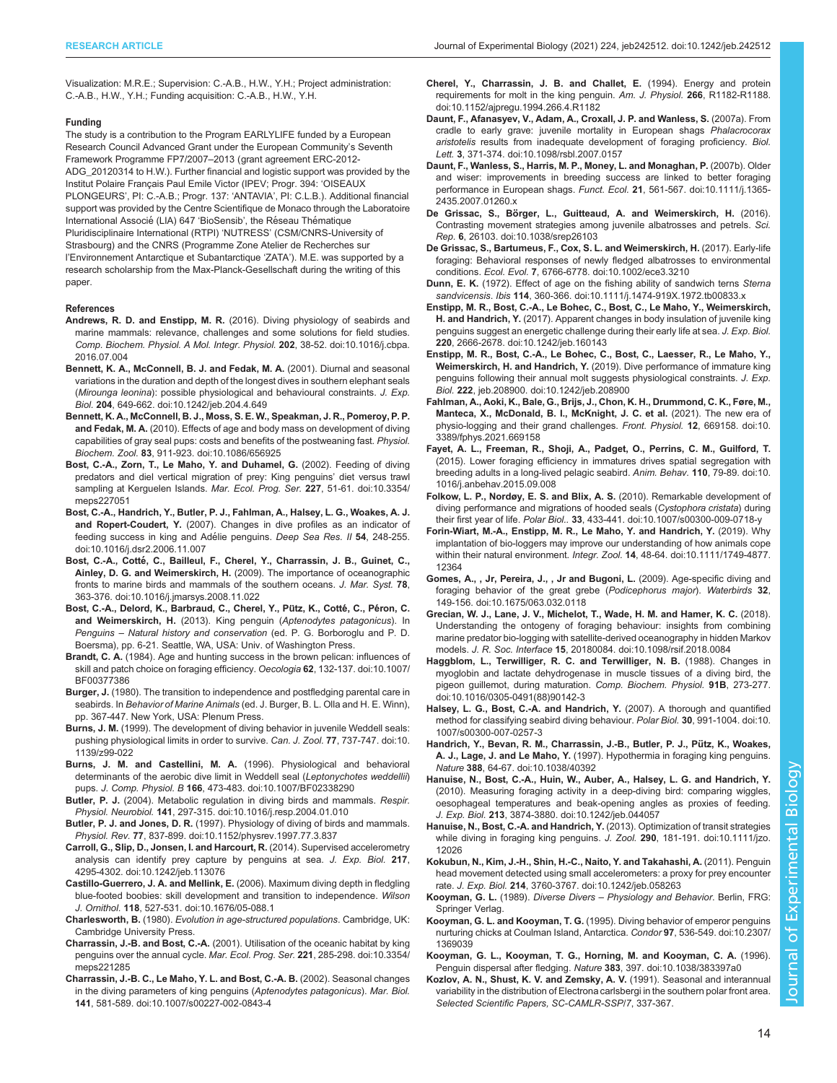<span id="page-13-0"></span>Visualization: M.R.E.; Supervision: C.-A.B., H.W., Y.H.; Project administration: C.-A.B., H.W., Y.H.; Funding acquisition: C.-A.B., H.W., Y.H.

#### Funding

The study is a contribution to the Program EARLYLIFE funded by a European Research Council Advanced Grant under the European Community's Seventh Framework Programme FP7/2007–2013 (grant agreement ERC-2012- ADG\_20120314 to H.W.). Further financial and logistic support was provided by the Institut Polaire Français Paul Emile Victor (IPEV; Progr. 394: 'OISEAUX PLONGEURS', PI: C.-A.B.; Progr. 137: 'ANTAVIA', PI: C.L.B.). Additional financial support was provided by the Centre Scientifique de Monaco through the Laboratoire International Associé (LIA) 647 'BioSensib', the Réseau Thématique Pluridisciplinaire International (RTPI) 'NUTRESS' (CSM/CNRS-University of Strasbourg) and the CNRS (Programme Zone Atelier de Recherches sur l'Environnement Antarctique et Subantarctique 'ZATA'). M.E. was supported by a research scholarship from the Max-Planck-Gesellschaft during the writing of this paper.

#### References

- Andrews, R. D. and Enstipp, M. R. [\(2016\). Diving physiology of seabirds and](https://doi.org/10.1016/j.cbpa.2016.07.004) [marine mammals: relevance, challenges and some solutions for field studies.](https://doi.org/10.1016/j.cbpa.2016.07.004) [Comp. Biochem. Physiol. A Mol. Integr. Physiol.](https://doi.org/10.1016/j.cbpa.2016.07.004) 202, 38-52. doi:10.1016/j.cbpa. [2016.07.004](https://doi.org/10.1016/j.cbpa.2016.07.004)
- [Bennett, K. A., McConnell, B. J. and Fedak, M. A.](https://doi.org/10.1242/jeb.204.4.649) (2001). Diurnal and seasonal [variations in the duration and depth of the longest dives in southern elephant seals](https://doi.org/10.1242/jeb.204.4.649) (Mirounga leonina[\): possible physiological and behavioural constraints.](https://doi.org/10.1242/jeb.204.4.649) J. Exp. Biol. 204[, 649-662. doi:10.1242/jeb.204.4.649](https://doi.org/10.1242/jeb.204.4.649)
- [Bennett, K. A., McConnell, B. J., Moss, S. E. W., Speakman, J. R., Pomeroy, P. P.](https://doi.org/10.1086/656925) and Fedak, M. A. [\(2010\). Effects of age and body mass on development of diving](https://doi.org/10.1086/656925) [capabilities of gray seal pups: costs and benefits of the postweaning fast.](https://doi.org/10.1086/656925) Physiol. Biochem. Zool. 83[, 911-923. doi:10.1086/656925](https://doi.org/10.1086/656925)
- [Bost, C.-A., Zorn, T., Le Maho, Y. and Duhamel, G.](https://doi.org/10.3354/meps227051) (2002). Feeding of diving [predators and diel vertical migration of prey: King penguins](https://doi.org/10.3354/meps227051)' diet versus trawl [sampling at Kerguelen Islands.](https://doi.org/10.3354/meps227051) Mar. Ecol. Prog. Ser. 227, 51-61. doi:10.3354/ [meps227051](https://doi.org/10.3354/meps227051)
- [Bost, C.-A., Handrich, Y., Butler, P. J., Fahlman, A., Halsey, L. G., Woakes, A. J.](https://doi.org/10.1016/j.dsr2.2006.11.007) and Ropert-Coudert, Y. [\(2007\). Changes in dive profiles as an indicator of](https://doi.org/10.1016/j.dsr2.2006.11.007) feeding success in king and Adélie penguins. Deep Sea Res. Il 54, 248-255. [doi:10.1016/j.dsr2.2006.11.007](https://doi.org/10.1016/j.dsr2.2006.11.007)
- Bost, C.-A., Cotté[, C., Bailleul, F., Cherel, Y., Charrassin, J. B., Guinet, C.,](https://doi.org/10.1016/j.jmarsys.2008.11.022) Ainley, D. G. and Weimerskirch, H. [\(2009\). The importance of oceanographic](https://doi.org/10.1016/j.jmarsys.2008.11.022) [fronts to marine birds and mammals of the southern oceans.](https://doi.org/10.1016/j.jmarsys.2008.11.022) J. Mar. Syst. 78, [363-376. doi:10.1016/j.jmarsys.2008.11.022](https://doi.org/10.1016/j.jmarsys.2008.11.022)
- Bost, C.-A., Delord, K., Barbraud, C., Cherel, Y., Pütz, K., Cotté, C., Péron, C. and Weimerskirch, H. (2013). King penguin (Aptenodytes patagonicus). In Penguins – Natural history and conservation (ed. P. G. Borboroglu and P. D. Boersma), pp. 6-21. Seattle, WA, USA: Univ. of Washington Press.
- Brandt, C. A. [\(1984\). Age and hunting success in the brown pelican: influences of](https://doi.org/10.1007/BF00377386) [skill and patch choice on foraging efficiency.](https://doi.org/10.1007/BF00377386) Oecologia 62, 132-137. doi:10.1007/ [BF00377386](https://doi.org/10.1007/BF00377386)
- Burger, J. (1980). The transition to independence and postfledging parental care in seabirds. In Behavior of Marine Animals (ed. J. Burger, B. L. Olla and H. E. Winn), pp. 367-447. New York, USA: Plenum Press.
- Burns, J. M. [\(1999\). The development of diving behavior in juvenile Weddell seals:](https://doi.org/10.1139/z99-022) [pushing physiological limits in order to survive.](https://doi.org/10.1139/z99-022) Can. J. Zool. 77, 737-747. doi:10. [1139/z99-022](https://doi.org/10.1139/z99-022)
- [Burns, J. M. and Castellini, M. A.](https://doi.org/10.1007/BF02338290) (1996). Physiological and behavioral [determinants of the aerobic dive limit in Weddell seal \(](https://doi.org/10.1007/BF02338290)Leptonychotes weddellii) pups. J. Comp. Physiol. B 166[, 473-483. doi:10.1007/BF02338290](https://doi.org/10.1007/BF02338290)
- Butler, P. J. [\(2004\). Metabolic regulation in diving birds and mammals.](https://doi.org/10.1016/j.resp.2004.01.010) Respir. Physiol. Neurobiol. 141[, 297-315. doi:10.1016/j.resp.2004.01.010](https://doi.org/10.1016/j.resp.2004.01.010)
- Butler, P. J. and Jones, D. R. [\(1997\). Physiology of diving of birds and mammals.](https://doi.org/10.1152/physrev.1997.77.3.837) Physiol. Rev. 77[, 837-899. doi:10.1152/physrev.1997.77.3.837](https://doi.org/10.1152/physrev.1997.77.3.837)
- [Carroll, G., Slip, D., Jonsen, I. and Harcourt, R.](https://doi.org/10.1242/jeb.113076) (2014). Supervised accelerometry [analysis can identify prey capture by penguins at sea.](https://doi.org/10.1242/jeb.113076) J. Exp. Biol. 217, [4295-4302. doi:10.1242/jeb.113076](https://doi.org/10.1242/jeb.113076)
- Castillo-Guerrero, J. A. and Mellink, E. [\(2006\). Maximum diving depth in fledgling](https://doi.org/10.1676/05-088.1) [blue-footed boobies: skill development and transition to independence.](https://doi.org/10.1676/05-088.1) Wilson J. Ornithol. 118[, 527-531. doi:10.1676/05-088.1](https://doi.org/10.1676/05-088.1)
- Charlesworth, B. (1980). Evolution in age-structured populations. Cambridge, UK: Cambridge University Press.
- Charrassin, J.-B. and Bost, C.-A. [\(2001\). Utilisation of the oceanic habitat by king](https://doi.org/10.3354/meps221285) [penguins over the annual cycle.](https://doi.org/10.3354/meps221285) Mar. Ecol. Prog. Ser. 221, 285-298. doi:10.3354/ [meps221285](https://doi.org/10.3354/meps221285)
- [Charrassin, J.-B. C., Le Maho, Y. L. and Bost, C.-A. B.](https://doi.org/10.1007/s00227-002-0843-4) (2002). Seasonal changes [in the diving parameters of king penguins \(](https://doi.org/10.1007/s00227-002-0843-4)Aptenodytes patagonicus). Mar. Biol. 141[, 581-589. doi:10.1007/s00227-002-0843-4](https://doi.org/10.1007/s00227-002-0843-4)
- [Cherel, Y., Charrassin, J. B. and Challet, E.](https://doi.org/10.1152/ajpregu.1994.266.4.R1182) (1994). Energy and protein [requirements for molt in the king penguin.](https://doi.org/10.1152/ajpregu.1994.266.4.R1182) Am. J. Physiol. 266, R1182-R1188. [doi:10.1152/ajpregu.1994.266.4.R1182](https://doi.org/10.1152/ajpregu.1994.266.4.R1182)
- [Daunt, F., Afanasyev, V., Adam, A., Croxall, J. P. and Wanless, S.](https://doi.org/10.1098/rsbl.2007.0157) (2007a). From [cradle to early grave: juvenile mortality in European shags](https://doi.org/10.1098/rsbl.2007.0157) Phalacrocorax aristotelis [results from inadequate development of foraging proficiency.](https://doi.org/10.1098/rsbl.2007.0157) Biol. Lett. 3[, 371-374. doi:10.1098/rsbl.2007.0157](https://doi.org/10.1098/rsbl.2007.0157)
- [Daunt, F., Wanless, S., Harris, M. P., Money, L. and Monaghan, P.](https://doi.org/10.1111/j.1365-2435.2007.01260.x) (2007b). Older [and wiser: improvements in breeding success are linked to better foraging](https://doi.org/10.1111/j.1365-2435.2007.01260.x) [performance in European shags.](https://doi.org/10.1111/j.1365-2435.2007.01260.x) Funct. Ecol. 21, 561-567. doi:10.1111/j.1365-[2435.2007.01260.x](https://doi.org/10.1111/j.1365-2435.2007.01260.x)
- De Grissac, S., Bö[rger, L., Guitteaud, A. and Weimerskirch, H.](https://doi.org/10.1038/srep26103) (2016). [Contrasting movement strategies among juvenile albatrosses and petrels.](https://doi.org/10.1038/srep26103) Sci. Rep. 6[, 26103. doi:10.1038/srep26103](https://doi.org/10.1038/srep26103)
- [De Grissac, S., Bartumeus, F., Cox, S. L. and Weimerskirch, H.](https://doi.org/10.1002/ece3.3210) (2017). Early-life [foraging: Behavioral responses of newly fledged albatrosses to environmental](https://doi.org/10.1002/ece3.3210) conditions. Ecol. Evol. 7[, 6766-6778. doi:10.1002/ece3.3210](https://doi.org/10.1002/ece3.3210)
- Dunn, E. K. [\(1972\). Effect of age on the fishing ability of sandwich terns](https://doi.org/10.1111/j.1474-919X.1972.tb00833.x) Sterna sandvicensis. Ibis 114[, 360-366. doi:10.1111/j.1474-919X.1972.tb00833.x](https://doi.org/10.1111/j.1474-919X.1972.tb00833.x)
- [Enstipp, M. R., Bost, C.-A., Le Bohec, C., Bost, C., Le Maho, Y., Weimerskirch,](https://doi.org/10.1242/jeb.160143) H. and Handrich, Y. [\(2017\). Apparent changes in body insulation of juvenile king](https://doi.org/10.1242/jeb.160143) [penguins suggest an energetic challenge during their early life at sea.](https://doi.org/10.1242/jeb.160143) J. Exp. Biol. 220[, 2666-2678. doi:10.1242/jeb.160143](https://doi.org/10.1242/jeb.160143)
- [Enstipp, M. R., Bost, C.-A., Le Bohec, C., Bost, C., Laesser, R., Le Maho, Y.,](https://doi.org/10.1242/jeb.208900) Weimerskirch, H. and Handrich, Y. [\(2019\). Dive performance of immature king](https://doi.org/10.1242/jeb.208900) [penguins following their annual molt suggests physiological constraints.](https://doi.org/10.1242/jeb.208900) J. Exp. Biol. 222[, jeb.208900. doi:10.1242/jeb.208900](https://doi.org/10.1242/jeb.208900)
- [Fahlman, A., Aoki, K., Bale, G., Brijs, J., Chon, K. H., Drummond, C. K., Føre, M.,](https://doi.org/10.3389/fphys.2021.669158) [Manteca, X., McDonald, B. I., McKnight, J. C. et al.](https://doi.org/10.3389/fphys.2021.669158) (2021). The new era of [physio-logging and their grand challenges.](https://doi.org/10.3389/fphys.2021.669158) Front. Physiol. 12, 669158. doi:10. [3389/fphys.2021.669158](https://doi.org/10.3389/fphys.2021.669158)
- [Fayet, A. L., Freeman, R., Shoji, A., Padget, O., Perrins, C. M., Guilford, T.](https://doi.org/10.1016/j.anbehav.2015.09.008) [\(2015\). Lower foraging efficiency in immatures drives spatial segregation with](https://doi.org/10.1016/j.anbehav.2015.09.008) [breeding adults in a long-lived pelagic seabird.](https://doi.org/10.1016/j.anbehav.2015.09.008) Anim. Behav. 110, 79-89. doi:10. [1016/j.anbehav.2015.09.008](https://doi.org/10.1016/j.anbehav.2015.09.008)
- [Folkow, L. P., Nordøy, E. S. and Blix, A. S.](https://doi.org/10.1007/s00300-009-0718-y) (2010). Remarkable development of [diving performance and migrations of hooded seals \(](https://doi.org/10.1007/s00300-009-0718-y)Cystophora cristata) during their first year of life. Polar Biol.. 33[, 433-441. doi:10.1007/s00300-009-0718-y](https://doi.org/10.1007/s00300-009-0718-y)
- [Forin-Wiart, M.-A., Enstipp, M. R., Le Maho, Y. and Handrich, Y.](https://doi.org/10.1111/1749-4877.12364) (2019). Why [implantation of bio-loggers may improve our understanding of how animals cope](https://doi.org/10.1111/1749-4877.12364) within their natural environment. Integr. Zool. 14[, 48-64. doi:10.1111/1749-4877.](https://doi.org/10.1111/1749-4877.12364) [12364](https://doi.org/10.1111/1749-4877.12364)
- [Gomes, A., , Jr, Pereira, J., , Jr and Bugoni, L.](https://doi.org/10.1675/063.032.0118) (2009). Age-specific diving and [foraging behavior of the great grebe \(](https://doi.org/10.1675/063.032.0118)Podicephorus major). Waterbirds 32, [149-156. doi:10.1675/063.032.0118](https://doi.org/10.1675/063.032.0118)
- [Grecian, W. J., Lane, J. V., Michelot, T., Wade, H. M. and Hamer, K. C.](https://doi.org/10.1098/rsif.2018.0084) (2018). [Understanding the ontogeny of foraging behaviour: insights from combining](https://doi.org/10.1098/rsif.2018.0084) [marine predator bio-logging with satellite-derived oceanography in hidden Markov](https://doi.org/10.1098/rsif.2018.0084) models. J. R. Soc. Interface 15[, 20180084. doi:10.1098/rsif.2018.0084](https://doi.org/10.1098/rsif.2018.0084)
- [Haggblom, L., Terwilliger, R. C. and Terwilliger, N. B.](https://doi.org/10.1016/0305-0491(88)90142-3) (1988). Changes in [myoglobin and lactate dehydrogenase in muscle tissues of a diving bird, the](https://doi.org/10.1016/0305-0491(88)90142-3) [pigeon guillemot, during maturation.](https://doi.org/10.1016/0305-0491(88)90142-3) Comp. Biochem. Physiol. 91B, 273-277. [doi:10.1016/0305-0491\(88\)90142-3](https://doi.org/10.1016/0305-0491(88)90142-3)
- [Halsey, L. G., Bost, C.-A. and Handrich, Y.](https://doi.org/10.1007/s00300-007-0257-3) (2007). A thorough and quantified [method for classifying seabird diving behaviour.](https://doi.org/10.1007/s00300-007-0257-3) Polar Biol. 30, 991-1004. doi:10. [1007/s00300-007-0257-3](https://doi.org/10.1007/s00300-007-0257-3)
- Handrich, Y., Bevan, R. M., Charrassin, J.-B., Butler, P. J., Pütz, K., Woakes, A. J., Lage, J. and Le Maho, Y. [\(1997\). Hypothermia in foraging king penguins.](https://doi.org/10.1038/40392) Nature 388[, 64-67. doi:10.1038/40392](https://doi.org/10.1038/40392)
- [Hanuise, N., Bost, C.-A., Huin, W., Auber, A., Halsey, L. G. and Handrich, Y.](https://doi.org/10.1242/jeb.044057) [\(2010\). Measuring foraging activity in a deep-diving bird: comparing wiggles,](https://doi.org/10.1242/jeb.044057) [oesophageal temperatures and beak-opening angles as proxies of feeding.](https://doi.org/10.1242/jeb.044057) J. Exp. Biol. 213[, 3874-3880. doi:10.1242/jeb.044057](https://doi.org/10.1242/jeb.044057)
- [Hanuise, N., Bost, C.-A. and Handrich, Y.](https://doi.org/10.1111/jzo.12026) (2013). Optimization of transit strategies [while diving in foraging king penguins.](https://doi.org/10.1111/jzo.12026) J. Zool. 290, 181-191. doi:10.1111/jzo. [12026](https://doi.org/10.1111/jzo.12026)
- [Kokubun, N., Kim, J.-H., Shin, H.-C., Naito, Y. and Takahashi, A.](https://doi.org/10.1242/jeb.058263) (2011). Penguin [head movement detected using small accelerometers: a proxy for prey encounter](https://doi.org/10.1242/jeb.058263) rate. J. Exp. Biol. 214[, 3760-3767. doi:10.1242/jeb.058263](https://doi.org/10.1242/jeb.058263)
- Kooyman, G. L. (1989). Diverse Divers Physiology and Behavior. Berlin, FRG: Springer Verlag.
- Kooyman, G. L. and Kooyman, T. G. [\(1995\). Diving behavior of emperor penguins](https://doi.org/10.2307/1369039) [nurturing chicks at Coulman Island, Antarctica.](https://doi.org/10.2307/1369039) Condor 97, 536-549. doi:10.2307/ [1369039](https://doi.org/10.2307/1369039)
- [Kooyman, G. L., Kooyman, T. G., Horning, M. and Kooyman, C. A.](https://doi.org/10.1038/383397a0) (1996). [Penguin dispersal after fledging.](https://doi.org/10.1038/383397a0) Nature 383, 397. doi:10.1038/383397a0
- Kozlov, A. N., Shust, K. V. and Zemsky, A. V. (1991). Seasonal and interannual variability in the distribution of Electrona carlsbergi in the southern polar front area. Selected Scientific Papers, SC-CAMLR-SSP/7, 337-367.